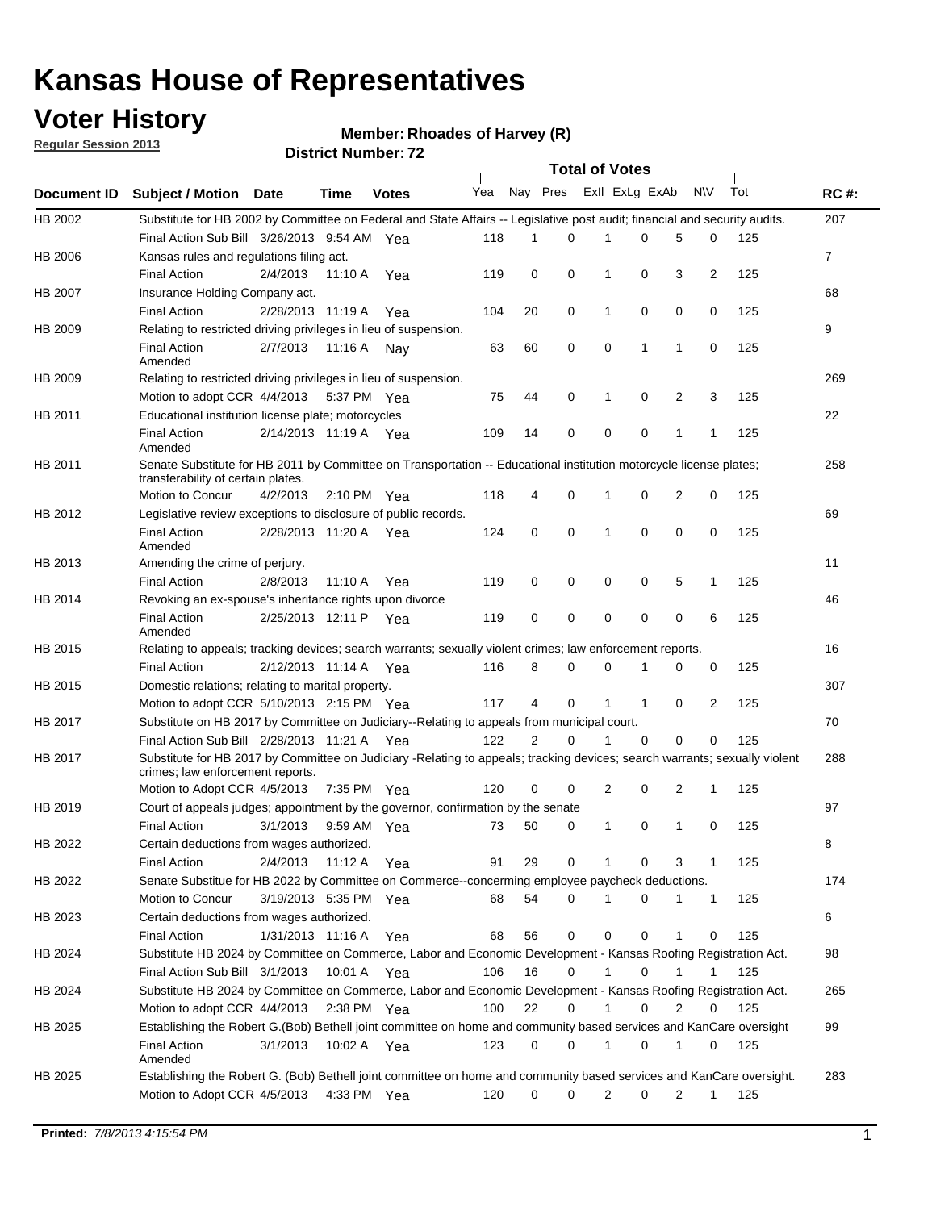## **Voter History**

**Member: Rhoades of Harvey (R)** 

**Regular Session 2013**

|             |                                                                                                                                                                |                       | ו הסעוווענו וענווע <del>ט</del> |              |                             |    | Total of Votes |                |              |                |                |     |                |
|-------------|----------------------------------------------------------------------------------------------------------------------------------------------------------------|-----------------------|---------------------------------|--------------|-----------------------------|----|----------------|----------------|--------------|----------------|----------------|-----|----------------|
| Document ID | <b>Subject / Motion Date</b>                                                                                                                                   |                       | <b>Time</b>                     | <b>Votes</b> | Yea Nay Pres ExII ExLg ExAb |    |                |                |              |                | N\V            | Tot | <b>RC#:</b>    |
| HB 2002     | Substitute for HB 2002 by Committee on Federal and State Affairs -- Legislative post audit; financial and security audits.                                     |                       |                                 |              |                             |    |                |                |              |                |                |     | 207            |
|             | Final Action Sub Bill 3/26/2013 9:54 AM Yea                                                                                                                    |                       |                                 |              | 118                         | 1  | 0              |                | 0            | 5              | 0              | 125 |                |
| HB 2006     | Kansas rules and regulations filing act.                                                                                                                       |                       |                                 |              |                             |    |                |                |              |                |                |     | $\overline{7}$ |
|             | <b>Final Action</b>                                                                                                                                            | 2/4/2013              | 11:10 A Yea                     |              | 119                         | 0  | 0              | 1              | 0            | 3              | $\overline{2}$ | 125 |                |
| HB 2007     | Insurance Holding Company act.                                                                                                                                 |                       |                                 |              |                             |    |                |                |              |                |                |     | 68             |
|             | <b>Final Action</b>                                                                                                                                            | 2/28/2013 11:19 A     |                                 | Yea          | 104                         | 20 | 0              | 1              | 0            | 0              | 0              | 125 |                |
| HB 2009     | Relating to restricted driving privileges in lieu of suspension.                                                                                               |                       |                                 |              |                             |    |                |                |              |                |                |     | 9              |
|             | <b>Final Action</b><br>Amended                                                                                                                                 | 2/7/2013              | 11:16 A Nay                     |              | 63                          | 60 | 0              | 0              | 1            | $\mathbf{1}$   | 0              | 125 |                |
| HB 2009     | Relating to restricted driving privileges in lieu of suspension.                                                                                               |                       |                                 |              |                             |    |                |                |              |                |                |     | 269            |
|             | Motion to adopt CCR 4/4/2013                                                                                                                                   |                       | 5:37 PM Yea                     |              | 75                          | 44 | 0              | 1              | 0            | 2              | 3              | 125 |                |
| HB 2011     | Educational institution license plate; motorcycles                                                                                                             |                       |                                 |              |                             |    |                |                |              |                |                |     | 22             |
|             | <b>Final Action</b><br>Amended                                                                                                                                 | 2/14/2013 11:19 A Yea |                                 |              | 109                         | 14 | 0              | 0              | 0            | 1              | 1              | 125 |                |
| HB 2011     | Senate Substitute for HB 2011 by Committee on Transportation -- Educational institution motorcycle license plates;                                             |                       |                                 |              |                             |    |                |                |              |                |                |     | 258            |
|             | transferability of certain plates.                                                                                                                             |                       |                                 |              |                             |    |                |                |              |                |                |     |                |
|             | Motion to Concur                                                                                                                                               | 4/2/2013              | $2:10 \text{ PM}$ Yea           |              | 118                         | 4  | 0              | 1              | 0            | $\overline{2}$ | 0              | 125 |                |
| HB 2012     | Legislative review exceptions to disclosure of public records.                                                                                                 |                       |                                 |              |                             |    |                |                |              |                |                |     | 69             |
|             | <b>Final Action</b><br>Amended                                                                                                                                 | 2/28/2013 11:20 A Yea |                                 |              | 124                         | 0  | 0              | 1              | 0            | 0              | 0              | 125 |                |
| HB 2013     | Amending the crime of perjury.                                                                                                                                 |                       |                                 |              |                             |    |                |                |              |                |                |     | 11             |
|             | <b>Final Action</b>                                                                                                                                            | 2/8/2013              | 11:10 A                         | Yea          | 119                         | 0  | 0              | 0              | 0            | 5              | 1              | 125 |                |
| HB 2014     | Revoking an ex-spouse's inheritance rights upon divorce                                                                                                        |                       |                                 |              |                             |    |                |                |              |                |                |     | 46             |
|             | <b>Final Action</b><br>Amended                                                                                                                                 | 2/25/2013 12:11 P Yea |                                 |              | 119                         | 0  | 0              | 0              | 0            | $\mathbf 0$    | 6              | 125 |                |
| HB 2015     | Relating to appeals; tracking devices; search warrants; sexually violent crimes; law enforcement reports.                                                      |                       |                                 |              |                             |    |                |                |              |                |                |     | 16             |
|             | <b>Final Action</b>                                                                                                                                            | 2/12/2013 11:14 A Yea |                                 |              | 116                         | 8  | 0              | 0              | 1            | 0              | 0              | 125 |                |
| HB 2015     | Domestic relations; relating to marital property.                                                                                                              |                       |                                 |              |                             |    |                |                |              |                |                |     | 307            |
|             | Motion to adopt CCR 5/10/2013 2:15 PM Yea                                                                                                                      |                       |                                 |              | 117                         | 4  | 0              | $\mathbf{1}$   | $\mathbf{1}$ | 0              | $\overline{2}$ | 125 |                |
| HB 2017     | Substitute on HB 2017 by Committee on Judiciary--Relating to appeals from municipal court.                                                                     |                       |                                 |              |                             |    |                |                |              |                |                |     | 70             |
|             | Final Action Sub Bill 2/28/2013 11:21 A Yea                                                                                                                    |                       |                                 |              | 122                         | 2  | 0              | 1              | 0            | 0              | 0              | 125 |                |
| HB 2017     | Substitute for HB 2017 by Committee on Judiciary -Relating to appeals; tracking devices; search warrants; sexually violent<br>crimes; law enforcement reports. |                       |                                 |              |                             |    |                |                |              |                |                |     | 288            |
|             | Motion to Adopt CCR 4/5/2013                                                                                                                                   |                       | 7:35 PM Yea                     |              | 120                         | 0  | 0              | $\overline{2}$ | 0            | 2              | 1              | 125 |                |
| HB 2019     | Court of appeals judges; appointment by the governor, confirmation by the senate                                                                               |                       |                                 |              |                             |    |                |                |              |                |                |     | 97             |
|             | <b>Final Action</b>                                                                                                                                            | 3/1/2013              | 9:59 AM Yea                     |              | 73                          | 50 | 0              | $\mathbf{1}$   | 0            | 1              | 0              | 125 |                |
| HB 2022     | Certain deductions from wages authorized.                                                                                                                      |                       |                                 |              |                             |    |                |                |              |                |                |     | 8              |
|             | <b>Final Action</b>                                                                                                                                            | 2/4/2013              | 11:12 A                         | Yea          | 91                          | 29 | 0              |                | 0            | 3              | 1              | 125 |                |
| HB 2022     | Senate Substitue for HB 2022 by Committee on Commerce--concerming employee paycheck deductions.                                                                |                       |                                 |              |                             |    |                |                |              |                |                |     | 174            |
|             | Motion to Concur                                                                                                                                               | 3/19/2013 5:35 PM Yea |                                 |              | 68                          | 54 | 0              | 1              | 0            | 1              | $\mathbf{1}$   | 125 |                |
| HB 2023     | Certain deductions from wages authorized.                                                                                                                      |                       |                                 |              |                             |    |                |                |              |                |                |     | 6              |
|             | <b>Final Action</b>                                                                                                                                            | 1/31/2013 11:16 A Yea |                                 |              | 68                          | 56 | 0              | 0              | 0            | 1              | 0              | 125 |                |
| HB 2024     | Substitute HB 2024 by Committee on Commerce, Labor and Economic Development - Kansas Roofing Registration Act.                                                 |                       |                                 |              |                             |    |                |                |              |                |                |     | 98             |
|             | Final Action Sub Bill 3/1/2013                                                                                                                                 |                       | 10:01 A Yea                     |              | 106                         | 16 | 0              | 1              | 0            | 1              | 1              | 125 |                |
| HB 2024     | Substitute HB 2024 by Committee on Commerce, Labor and Economic Development - Kansas Roofing Registration Act.                                                 |                       |                                 |              |                             |    |                |                |              |                |                |     | 265            |
|             | Motion to adopt CCR 4/4/2013                                                                                                                                   |                       | 2:38 PM Yea                     |              | 100                         | 22 | 0              | $\mathbf{1}$   | 0            | 2              | 0              | 125 |                |
| HB 2025     | Establishing the Robert G.(Bob) Bethell joint committee on home and community based services and KanCare oversight                                             |                       |                                 |              |                             |    |                |                |              |                |                |     | 99             |
|             | <b>Final Action</b><br>Amended                                                                                                                                 | 3/1/2013              | 10:02 A Yea                     |              | 123                         | 0  | 0              | 1              | 0            | 1              | 0              | 125 |                |
| HB 2025     | Establishing the Robert G. (Bob) Bethell joint committee on home and community based services and KanCare oversight.                                           |                       |                                 |              |                             |    |                |                |              |                |                |     | 283            |
|             | Motion to Adopt CCR 4/5/2013                                                                                                                                   |                       | 4:33 PM Yea                     |              | 120                         | 0  | 0              | 2              | 0            | $\overline{2}$ | 1              | 125 |                |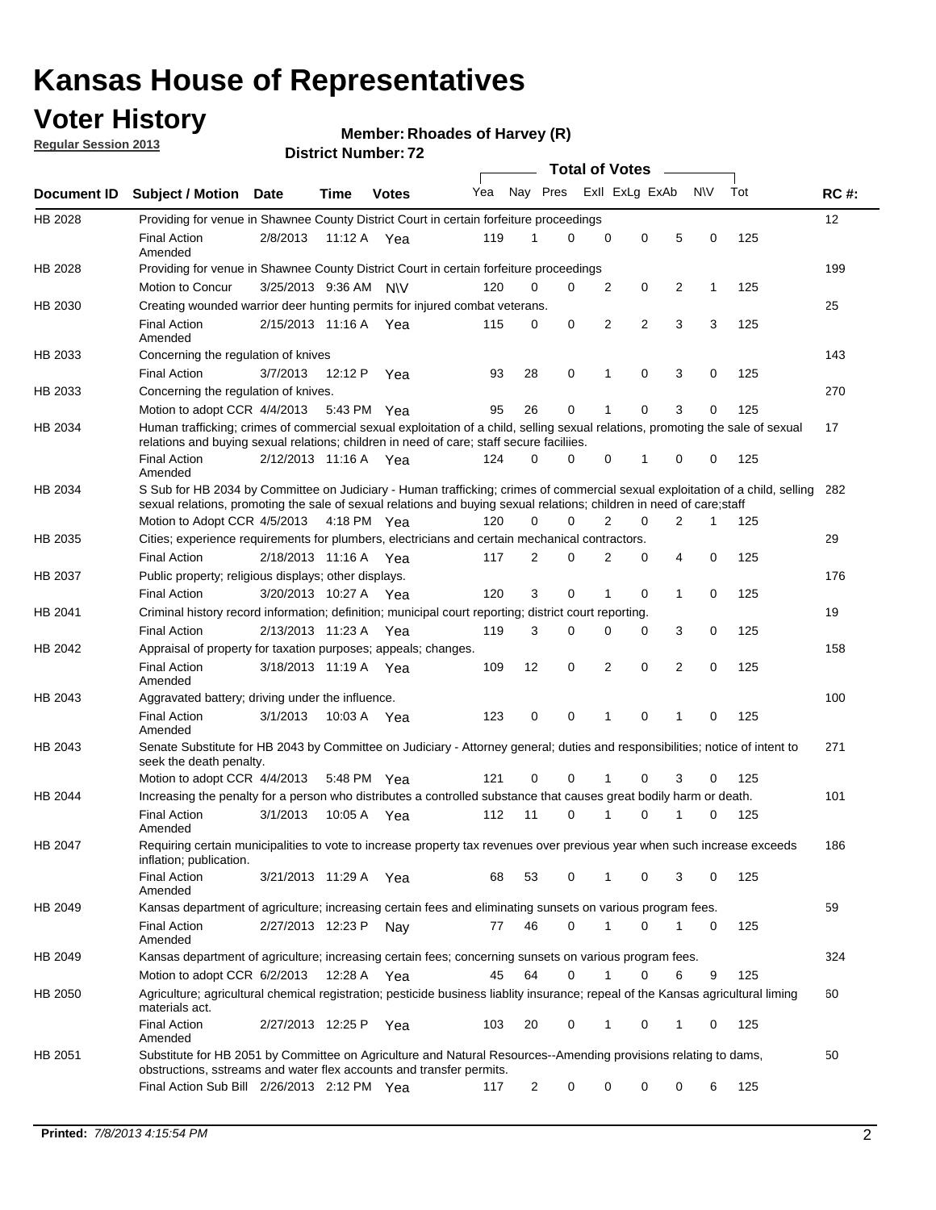## **Voter History**

**Regular Session 2013**

**Member: Rhoades of Harvey (R)** 

|             |                                                                                                                                                                                                                                                       |                       |         |              |     |                | <b>Total of Votes</b> |                |                |                |           |     |             |
|-------------|-------------------------------------------------------------------------------------------------------------------------------------------------------------------------------------------------------------------------------------------------------|-----------------------|---------|--------------|-----|----------------|-----------------------|----------------|----------------|----------------|-----------|-----|-------------|
| Document ID | <b>Subject / Motion Date</b>                                                                                                                                                                                                                          |                       | Time    | <b>Votes</b> | Yea | Nay Pres       |                       |                | Exll ExLg ExAb |                | <b>NV</b> | Tot | <b>RC#:</b> |
| HB 2028     | Providing for venue in Shawnee County District Court in certain forfeiture proceedings                                                                                                                                                                |                       |         |              |     |                |                       |                |                |                |           |     | 12          |
|             | <b>Final Action</b><br>Amended                                                                                                                                                                                                                        | 2/8/2013              | 11:12 A | Yea          | 119 | 1              | $\Omega$              | $\mathbf 0$    | 0              | 5              | 0         | 125 |             |
| HB 2028     | Providing for venue in Shawnee County District Court in certain forfeiture proceedings<br>Motion to Concur                                                                                                                                            | 3/25/2013 9:36 AM     |         | <b>NV</b>    | 120 | 0              | 0                     | 2              | 0              | 2              | 1         | 125 | 199         |
| HB 2030     | Creating wounded warrior deer hunting permits for injured combat veterans.                                                                                                                                                                            |                       |         |              |     |                |                       |                |                |                |           |     | 25          |
|             | <b>Final Action</b><br>Amended                                                                                                                                                                                                                        | 2/15/2013 11:16 A Yea |         |              | 115 | 0              | 0                     | 2              | $\overline{2}$ | 3              | 3         | 125 |             |
| HB 2033     | Concerning the regulation of knives                                                                                                                                                                                                                   |                       |         |              |     |                |                       |                |                |                |           |     | 143         |
|             | <b>Final Action</b>                                                                                                                                                                                                                                   | 3/7/2013              | 12:12 P | Yea          | 93  | 28             | 0                     | 1              | 0              | 3              | 0         | 125 |             |
| HB 2033     | Concerning the regulation of knives.                                                                                                                                                                                                                  |                       |         |              |     |                |                       |                |                |                |           |     | 270         |
|             | Motion to adopt CCR 4/4/2013                                                                                                                                                                                                                          |                       |         | 5:43 PM Yea  | 95  | 26             | 0                     | 1              | 0              | 3              | 0         | 125 |             |
| HB 2034     | Human trafficking; crimes of commercial sexual exploitation of a child, selling sexual relations, promoting the sale of sexual                                                                                                                        |                       |         |              |     |                |                       |                |                |                |           |     | 17          |
|             | relations and buying sexual relations; children in need of care; staff secure faciliies.<br><b>Final Action</b>                                                                                                                                       | 2/12/2013 11:16 A Yea |         |              | 124 | $\Omega$       | 0                     | 0              | 1              | 0              | 0         | 125 |             |
|             | Amended                                                                                                                                                                                                                                               |                       |         |              |     |                |                       |                |                |                |           |     |             |
| HB 2034     | S Sub for HB 2034 by Committee on Judiciary - Human trafficking; crimes of commercial sexual exploitation of a child, selling<br>sexual relations, promoting the sale of sexual relations and buying sexual relations; children in need of care;staff |                       |         |              |     |                |                       |                |                |                |           |     | 282         |
|             | Motion to Adopt CCR 4/5/2013 4:18 PM Yea                                                                                                                                                                                                              |                       |         |              | 120 | $\Omega$       | 0                     | $\overline{2}$ | 0              | $\overline{2}$ | 1         | 125 |             |
| HB 2035     | Cities; experience requirements for plumbers, electricians and certain mechanical contractors.                                                                                                                                                        |                       |         |              |     |                |                       |                |                |                |           |     | 29          |
|             | <b>Final Action</b>                                                                                                                                                                                                                                   | 2/18/2013 11:16 A     |         | Yea          | 117 | $\overline{2}$ | 0                     | 2              | 0              | 4              | 0         | 125 |             |
| HB 2037     | Public property; religious displays; other displays.                                                                                                                                                                                                  |                       |         |              |     |                |                       |                |                |                |           |     | 176         |
|             | <b>Final Action</b>                                                                                                                                                                                                                                   | 3/20/2013 10:27 A     |         | Yea          | 120 | 3              | 0                     | 1              | 0              | 1              | 0         | 125 |             |
| HB 2041     | Criminal history record information; definition; municipal court reporting; district court reporting.                                                                                                                                                 |                       |         |              |     |                |                       |                |                |                |           |     | 19          |
|             | <b>Final Action</b>                                                                                                                                                                                                                                   | 2/13/2013 11:23 A     |         | Yea          | 119 | 3              | 0                     | 0              | 0              | 3              | 0         | 125 |             |
| HB 2042     | Appraisal of property for taxation purposes; appeals; changes.                                                                                                                                                                                        |                       |         |              |     |                |                       |                |                |                |           |     | 158         |
|             | <b>Final Action</b><br>Amended                                                                                                                                                                                                                        | 3/18/2013 11:19 A Yea |         |              | 109 | 12             | 0                     | $\overline{2}$ | $\mathbf 0$    | $\overline{2}$ | 0         | 125 |             |
| HB 2043     | Aggravated battery; driving under the influence.                                                                                                                                                                                                      |                       |         |              |     |                |                       |                |                |                |           |     | 100         |
|             | <b>Final Action</b><br>Amended                                                                                                                                                                                                                        | 3/1/2013              |         | 10:03 A Yea  | 123 | 0              | 0                     | 1              | 0              | 1              | 0         | 125 |             |
| HB 2043     | Senate Substitute for HB 2043 by Committee on Judiciary - Attorney general; duties and responsibilities; notice of intent to<br>seek the death penalty.                                                                                               |                       |         |              |     |                |                       |                |                |                |           |     | 271         |
|             | Motion to adopt CCR 4/4/2013                                                                                                                                                                                                                          |                       |         | 5:48 PM Yea  | 121 | 0              | 0                     | 1              | 0              | 3              | 0         | 125 |             |
| HB 2044     | Increasing the penalty for a person who distributes a controlled substance that causes great bodily harm or death.                                                                                                                                    |                       |         |              |     |                |                       |                |                |                |           |     | 101         |
|             | <b>Final Action</b><br>Amended                                                                                                                                                                                                                        | 3/1/2013              | 10:05 A | Yea          | 112 | 11             | 0                     | 1              | 0              | 1              | 0         | 125 |             |
| HB 2047     | Requiring certain municipalities to vote to increase property tax revenues over previous year when such increase exceeds<br>inflation; publication.                                                                                                   |                       |         |              |     |                |                       |                |                |                |           |     | 186         |
|             | <b>Final Action</b><br>Amended                                                                                                                                                                                                                        | 3/21/2013 11:29 A Yea |         |              | 68  | 53             | 0                     | 1              | 0              | 3              | 0         | 125 |             |
| HB 2049     | Kansas department of agriculture; increasing certain fees and eliminating sunsets on various program fees.                                                                                                                                            |                       |         |              |     |                |                       |                |                |                |           |     | 59          |
|             | <b>Final Action</b><br>Amended                                                                                                                                                                                                                        | 2/27/2013 12:23 P     |         | Nav          | 77  | 46             | 0                     | 1              | 0              | 1              | 0         | 125 |             |
| HB 2049     | Kansas department of agriculture; increasing certain fees; concerning sunsets on various program fees.                                                                                                                                                |                       |         |              |     |                |                       |                |                |                |           |     | 324         |
|             | Motion to adopt CCR 6/2/2013                                                                                                                                                                                                                          |                       | 12:28 A | Yea          | 45  | 64             | 0                     | $\mathbf{1}$   | 0              | 6              | 9         | 125 |             |
| HB 2050     | Agriculture; agricultural chemical registration; pesticide business liablity insurance; repeal of the Kansas agricultural liming<br>materials act.                                                                                                    |                       |         |              |     |                |                       |                |                |                |           |     | 60          |
|             | <b>Final Action</b><br>Amended                                                                                                                                                                                                                        | 2/27/2013 12:25 P     |         | Yea          | 103 | 20             | 0                     |                | 0              | 1              | 0         | 125 |             |
| HB 2051     | Substitute for HB 2051 by Committee on Agriculture and Natural Resources--Amending provisions relating to dams,<br>obstructions, sstreams and water flex accounts and transfer permits.                                                               |                       |         |              |     |                |                       |                |                |                |           |     | 50          |
|             | Final Action Sub Bill 2/26/2013 2:12 PM Yea                                                                                                                                                                                                           |                       |         |              | 117 | 2              | 0                     | 0              | 0              | 0              | 6         | 125 |             |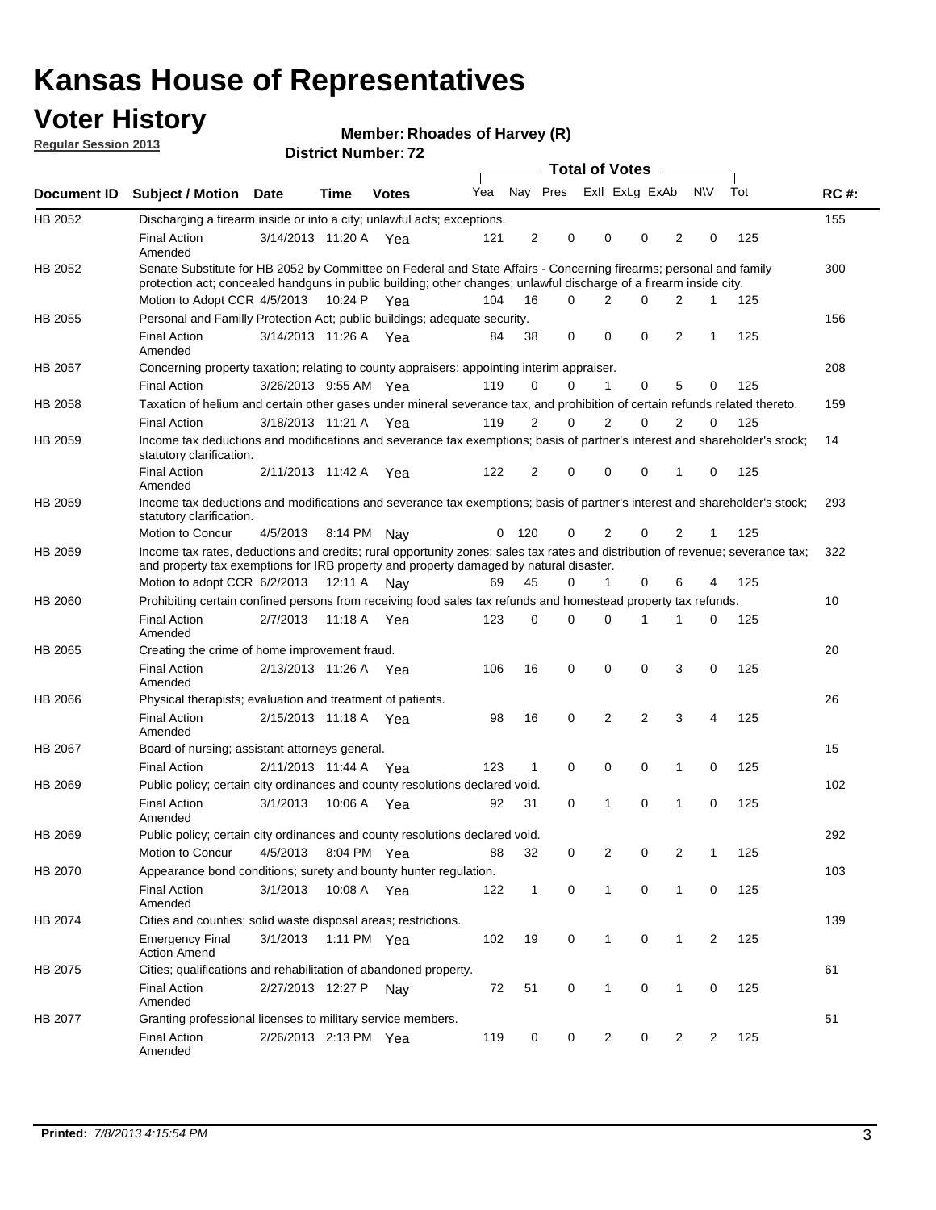## **Voter History**

**Member: Rhoades of Harvey (R)** 

**Regular Session 2013**

|             |                                                                                                                                                                                                                                          |                       |         | ו הסעוווענו וענוווע <del>כ</del> ו ווא |     |                |                         | Total of Votes – |                |                |                |                |     |             |
|-------------|------------------------------------------------------------------------------------------------------------------------------------------------------------------------------------------------------------------------------------------|-----------------------|---------|----------------------------------------|-----|----------------|-------------------------|------------------|----------------|----------------|----------------|----------------|-----|-------------|
| Document ID | <b>Subject / Motion Date</b>                                                                                                                                                                                                             |                       | Time    | <b>Votes</b>                           | Yea |                | Nay Pres Exll ExLg ExAb |                  |                |                |                | N\V            | Tot | <b>RC#:</b> |
| HB 2052     | Discharging a firearm inside or into a city; unlawful acts; exceptions.                                                                                                                                                                  |                       |         |                                        |     |                |                         |                  |                |                |                |                |     | 155         |
|             | <b>Final Action</b><br>Amended                                                                                                                                                                                                           | 3/14/2013 11:20 A Yea |         |                                        | 121 | $\overline{2}$ | 0                       |                  | $\Omega$       | 0              | 2              | 0              | 125 |             |
| HB 2052     | Senate Substitute for HB 2052 by Committee on Federal and State Affairs - Concerning firearms; personal and family<br>protection act; concealed handguns in public building; other changes; unlawful discharge of a firearm inside city. |                       |         |                                        |     |                |                         |                  |                |                |                |                |     | 300         |
|             | Motion to Adopt CCR 4/5/2013 10:24 P Yea                                                                                                                                                                                                 |                       |         |                                        | 104 | 16             | $\Omega$                |                  | 2              | 0              | 2              | 1              | 125 |             |
| HB 2055     | Personal and Familly Protection Act; public buildings; adequate security.                                                                                                                                                                |                       |         |                                        |     |                |                         |                  |                |                |                |                |     | 156         |
|             | <b>Final Action</b><br>Amended                                                                                                                                                                                                           | 3/14/2013 11:26 A Yea |         |                                        | 84  | 38             | 0                       |                  | 0              | 0              | 2              | $\mathbf{1}$   | 125 |             |
| HB 2057     | Concerning property taxation; relating to county appraisers; appointing interim appraiser.                                                                                                                                               |                       |         |                                        |     |                |                         |                  |                |                |                |                |     | 208         |
|             | <b>Final Action</b>                                                                                                                                                                                                                      | 3/26/2013 9:55 AM Yea |         |                                        | 119 | 0              | 0                       |                  | 1              | 0              | 5              | 0              | 125 |             |
| HB 2058     | Taxation of helium and certain other gases under mineral severance tax, and prohibition of certain refunds related thereto.                                                                                                              |                       |         |                                        |     |                |                         |                  |                |                |                |                |     | 159         |
|             | <b>Final Action</b>                                                                                                                                                                                                                      | 3/18/2013 11:21 A Yea |         |                                        | 119 | 2              | 0                       |                  | 2              | $\Omega$       | 2              | $\Omega$       | 125 |             |
| HB 2059     | Income tax deductions and modifications and severance tax exemptions; basis of partner's interest and shareholder's stock;<br>statutory clarification.                                                                                   |                       |         |                                        |     |                |                         |                  |                |                |                |                |     | 14          |
|             | <b>Final Action</b><br>Amended                                                                                                                                                                                                           | 2/11/2013 11:42 A     |         | Yea                                    | 122 | 2              | 0                       |                  | $\Omega$       | 0              | 1              | 0              | 125 |             |
| HB 2059     | Income tax deductions and modifications and severance tax exemptions; basis of partner's interest and shareholder's stock;<br>statutory clarification.                                                                                   |                       |         |                                        |     |                |                         |                  |                |                |                |                |     | 293         |
|             | Motion to Concur                                                                                                                                                                                                                         | 4/5/2013              |         | 8:14 PM Nav                            | 0   | - 120          | 0                       |                  | 2              | 0              | 2              | 1              | 125 |             |
| HB 2059     | Income tax rates, deductions and credits; rural opportunity zones; sales tax rates and distribution of revenue; severance tax;<br>and property tax exemptions for IRB property and property damaged by natural disaster.                 |                       |         |                                        |     |                |                         |                  |                |                |                |                |     | 322         |
|             | Motion to adopt CCR 6/2/2013                                                                                                                                                                                                             |                       | 12:11 A | Nay                                    | 69  | 45             | 0                       |                  | $\mathbf{1}$   | 0              | 6              | 4              | 125 |             |
| HB 2060     | Prohibiting certain confined persons from receiving food sales tax refunds and homestead property tax refunds.                                                                                                                           |                       |         |                                        |     |                |                         |                  |                |                |                |                |     | 10          |
|             | <b>Final Action</b><br>Amended                                                                                                                                                                                                           | 2/7/2013              | 11:18 A | Yea                                    | 123 | 0              | $\Omega$                |                  | $\Omega$       | 1              | 1              | 0              | 125 |             |
| HB 2065     | Creating the crime of home improvement fraud.                                                                                                                                                                                            |                       |         |                                        |     |                |                         |                  |                |                |                |                |     | 20          |
|             | <b>Final Action</b><br>Amended                                                                                                                                                                                                           | 2/13/2013 11:26 A Yea |         |                                        | 106 | 16             | $\mathbf 0$             |                  | 0              | 0              | 3              | 0              | 125 |             |
| HB 2066     | Physical therapists; evaluation and treatment of patients.                                                                                                                                                                               |                       |         |                                        |     |                |                         |                  |                |                |                |                |     | 26          |
|             | <b>Final Action</b><br>Amended                                                                                                                                                                                                           | 2/15/2013 11:18 A Yea |         |                                        | 98  | 16             | $\mathbf 0$             |                  | $\overline{2}$ | $\overline{2}$ | 3              | 4              | 125 |             |
| HB 2067     | Board of nursing; assistant attorneys general.                                                                                                                                                                                           |                       |         |                                        |     |                |                         |                  |                |                |                |                |     | 15          |
|             | <b>Final Action</b>                                                                                                                                                                                                                      | 2/11/2013 11:44 A Yea |         |                                        | 123 | 1              | $\mathbf 0$             |                  | 0              | 0              | 1              | 0              | 125 |             |
| HB 2069     | Public policy; certain city ordinances and county resolutions declared void.                                                                                                                                                             |                       |         |                                        |     |                |                         |                  |                |                |                |                |     | 102         |
|             | <b>Final Action</b><br>Amended                                                                                                                                                                                                           | 3/1/2013              | 10:06 A | Yea                                    | 92  | 31             | $\mathbf 0$             |                  | 1              | $\Omega$       | 1              | $\mathbf 0$    | 125 |             |
| HB 2069     | Public policy; certain city ordinances and county resolutions declared void.                                                                                                                                                             |                       |         |                                        |     |                |                         |                  |                |                |                |                |     | 292         |
|             | Motion to Concur                                                                                                                                                                                                                         | 4/5/2013              |         | 8:04 PM Yea                            | 88  | 32             | 0                       |                  | 2              | 0              | $\overline{2}$ | 1              | 125 |             |
| HB 2070     | Appearance bond conditions; surety and bounty hunter regulation.                                                                                                                                                                         |                       |         |                                        |     |                |                         |                  |                |                |                |                |     | 103         |
|             | <b>Final Action</b><br>Amended                                                                                                                                                                                                           | 3/1/2013              |         | 10:08 A Yea                            | 122 | $\mathbf{1}$   | 0                       |                  | $\mathbf{1}$   | 0              | 1              | 0              | 125 |             |
| HB 2074     | Cities and counties; solid waste disposal areas; restrictions.                                                                                                                                                                           |                       |         |                                        |     |                |                         |                  |                |                |                |                |     | 139         |
|             | <b>Emergency Final</b><br><b>Action Amend</b>                                                                                                                                                                                            | 3/1/2013              |         | 1:11 PM Yea                            | 102 | 19             | 0                       |                  | $\mathbf{1}$   | 0              | $\mathbf{1}$   | $\overline{2}$ | 125 |             |
| HB 2075     | Cities; qualifications and rehabilitation of abandoned property.                                                                                                                                                                         |                       |         |                                        |     |                |                         |                  |                |                |                |                |     | 61          |
|             | <b>Final Action</b><br>Amended                                                                                                                                                                                                           | 2/27/2013 12:27 P Nay |         |                                        | 72  | 51             | 0                       |                  | 1              | 0              | 1              | 0              | 125 |             |
| HB 2077     | Granting professional licenses to military service members.<br><b>Final Action</b><br>Amended                                                                                                                                            | 2/26/2013 2:13 PM Yea |         |                                        | 119 | 0              | 0                       |                  | $\overline{2}$ | 0              | 2              | 2              | 125 | 51          |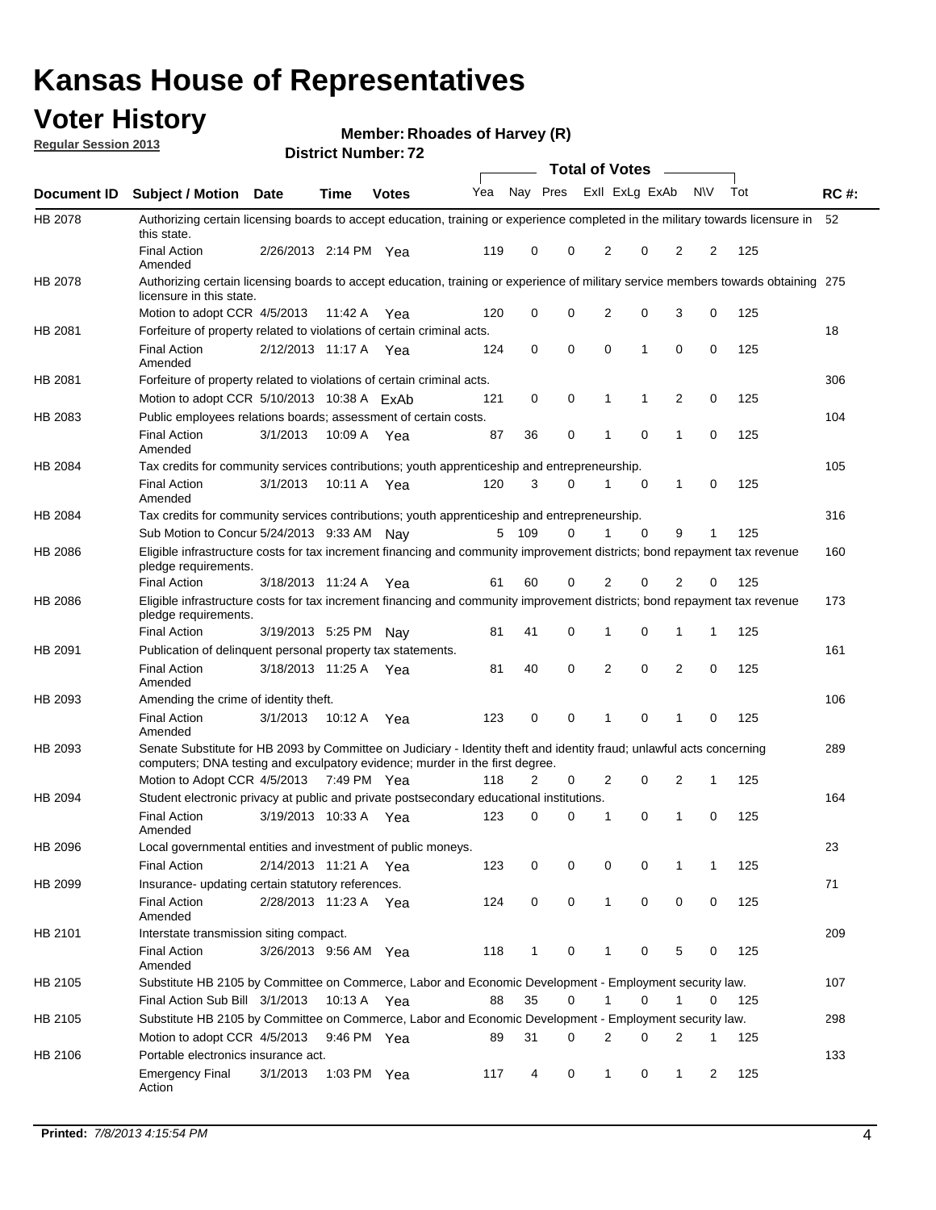## **Voter History**

**Member: Rhoades of Harvey (R)** 

**Regular Session 2013**

|                    |                                                                                                                                                                                                       |                       |             | PIJU IVI I VUI II IVI I <i>L</i> |              |              |   | <b>Total of Votes</b> |             | $\overline{\phantom{a}}$ |             |     |             |
|--------------------|-------------------------------------------------------------------------------------------------------------------------------------------------------------------------------------------------------|-----------------------|-------------|----------------------------------|--------------|--------------|---|-----------------------|-------------|--------------------------|-------------|-----|-------------|
| <b>Document ID</b> | <b>Subject / Motion Date</b>                                                                                                                                                                          |                       | <b>Time</b> | <b>Votes</b>                     | Yea Nay Pres |              |   | Exll ExLg ExAb        |             |                          | <b>NV</b>   | Tot | <b>RC#:</b> |
| HB 2078            | Authorizing certain licensing boards to accept education, training or experience completed in the military towards licensure in<br>this state.                                                        |                       |             |                                  |              |              |   |                       |             |                          |             |     | 52          |
|                    | <b>Final Action</b><br>Amended                                                                                                                                                                        | 2/26/2013 2:14 PM Yea |             |                                  | 119          | 0            | 0 | 2                     | 0           | 2                        | 2           | 125 |             |
| HB 2078            | Authorizing certain licensing boards to accept education, training or experience of military service members towards obtaining 275<br>licensure in this state.                                        |                       |             |                                  |              |              |   |                       |             |                          |             |     |             |
|                    | Motion to adopt CCR 4/5/2013                                                                                                                                                                          |                       | 11:42 A     | Yea                              | 120          | 0            | 0 | $\overline{2}$        | 0           | 3                        | 0           | 125 |             |
| HB 2081            | Forfeiture of property related to violations of certain criminal acts.                                                                                                                                |                       |             |                                  |              |              |   |                       |             |                          |             |     | 18          |
|                    | <b>Final Action</b><br>Amended                                                                                                                                                                        | 2/12/2013 11:17 A Yea |             |                                  | 124          | 0            | 0 | $\Omega$              | 1           | 0                        | 0           | 125 |             |
| HB 2081            | Forfeiture of property related to violations of certain criminal acts.                                                                                                                                |                       |             |                                  |              |              |   |                       |             |                          |             |     | 306         |
|                    | Motion to adopt CCR 5/10/2013 10:38 A ExAb                                                                                                                                                            |                       |             |                                  | 121          | 0            | 0 | 1                     | 1           | 2                        | 0           | 125 |             |
| HB 2083            | Public employees relations boards; assessment of certain costs.                                                                                                                                       |                       |             |                                  |              |              |   |                       |             |                          |             |     | 104         |
|                    | <b>Final Action</b><br>Amended                                                                                                                                                                        | 3/1/2013              | 10:09 A     | Yea                              | 87           | 36           | 0 | 1                     | $\mathbf 0$ | 1                        | $\mathbf 0$ | 125 |             |
| HB 2084            | Tax credits for community services contributions; youth apprenticeship and entrepreneurship.                                                                                                          |                       |             |                                  |              |              |   |                       |             |                          |             |     | 105         |
|                    | <b>Final Action</b><br>Amended                                                                                                                                                                        | 3/1/2013              | 10:11 A     | Yea                              | 120          | 3            | 0 | 1                     | $\mathbf 0$ | 1                        | 0           | 125 |             |
| HB 2084            | Tax credits for community services contributions; youth apprenticeship and entrepreneurship.                                                                                                          |                       |             |                                  |              |              |   |                       |             |                          |             |     | 316         |
|                    | Sub Motion to Concur 5/24/2013 9:33 AM Nav                                                                                                                                                            |                       |             |                                  | 5            | - 109        | 0 |                       | 0           | 9                        | 1           | 125 |             |
| HB 2086            | Eligible infrastructure costs for tax increment financing and community improvement districts; bond repayment tax revenue<br>pledge requirements.                                                     |                       |             |                                  |              |              |   |                       |             |                          |             |     | 160         |
|                    | <b>Final Action</b>                                                                                                                                                                                   | 3/18/2013 11:24 A     |             | Yea                              | 61           | 60           | 0 | 2                     | 0           | $\overline{2}$           | 0           | 125 |             |
| HB 2086            | Eligible infrastructure costs for tax increment financing and community improvement districts; bond repayment tax revenue<br>pledge requirements.                                                     |                       |             |                                  |              |              |   |                       |             |                          |             |     | 173         |
|                    | <b>Final Action</b>                                                                                                                                                                                   | 3/19/2013 5:25 PM     |             | Nay                              | 81           | 41           | 0 | 1                     | 0           | 1                        | 1           | 125 |             |
| HB 2091            | Publication of delinguent personal property tax statements.                                                                                                                                           |                       |             |                                  |              |              |   |                       |             |                          |             |     | 161         |
|                    | <b>Final Action</b><br>Amended                                                                                                                                                                        | 3/18/2013 11:25 A     |             | Yea                              | 81           | 40           | 0 | 2                     | 0           | $\overline{2}$           | 0           | 125 |             |
| HB 2093            | Amending the crime of identity theft.                                                                                                                                                                 |                       |             |                                  |              |              |   |                       |             |                          |             |     | 106         |
|                    | <b>Final Action</b><br>Amended                                                                                                                                                                        | 3/1/2013              | 10:12 A     | Yea                              | 123          | 0            | 0 | 1                     | $\Omega$    | 1                        | 0           | 125 |             |
| HB 2093            | Senate Substitute for HB 2093 by Committee on Judiciary - Identity theft and identity fraud; unlawful acts concerning<br>computers; DNA testing and exculpatory evidence; murder in the first degree. |                       |             |                                  |              |              |   |                       |             |                          |             |     | 289         |
|                    | Motion to Adopt CCR 4/5/2013 7:49 PM Yea                                                                                                                                                              |                       |             |                                  | 118          | 2            | 0 | 2                     | 0           | 2                        | 1           | 125 |             |
| HB 2094            | Student electronic privacy at public and private postsecondary educational institutions.                                                                                                              |                       |             |                                  |              |              |   |                       |             |                          |             |     | 164         |
|                    | <b>Final Action</b><br>Amended                                                                                                                                                                        | 3/19/2013 10:33 A     |             | Yea                              | 123          | 0            | 0 | 1                     | 0           | 1                        | 0           | 125 |             |
| HB 2096            | Local governmental entities and investment of public moneys.<br><b>Final Action</b>                                                                                                                   | 2/14/2013 11:21 A     |             | Yea                              | 123          | 0            | 0 | 0                     | 0           | 1                        | 1           | 125 | 23          |
| HB 2099            | Insurance- updating certain statutory references.                                                                                                                                                     |                       |             |                                  |              |              |   |                       |             |                          |             |     | 71          |
|                    | <b>Final Action</b><br>Amended                                                                                                                                                                        | 2/28/2013 11:23 A     |             | Yea                              | 124          | 0            | 0 | 1                     | 0           | 0                        | 0           | 125 |             |
| HB 2101            | Interstate transmission siting compact.                                                                                                                                                               |                       |             |                                  |              |              |   |                       |             |                          |             |     | 209         |
|                    | <b>Final Action</b><br>Amended                                                                                                                                                                        | 3/26/2013 9:56 AM Yea |             |                                  | 118          | $\mathbf{1}$ | 0 | 1                     | 0           | 5                        | 0           | 125 |             |
| HB 2105            | Substitute HB 2105 by Committee on Commerce, Labor and Economic Development - Employment security law.                                                                                                |                       |             |                                  |              |              |   |                       |             |                          |             |     | 107         |
|                    | Final Action Sub Bill 3/1/2013                                                                                                                                                                        |                       | 10:13 A Yea |                                  | 88           | 35           | 0 |                       | 0           | 1                        | 0           | 125 |             |
| HB 2105            | Substitute HB 2105 by Committee on Commerce, Labor and Economic Development - Employment security law.                                                                                                |                       |             |                                  |              |              |   |                       |             |                          |             |     | 298         |
|                    | Motion to adopt CCR 4/5/2013                                                                                                                                                                          |                       | 9:46 PM Yea |                                  | 89           | 31           | 0 | 2                     | 0           | 2                        | 1           | 125 |             |
| HB 2106            | Portable electronics insurance act.                                                                                                                                                                   |                       |             |                                  |              |              |   |                       |             |                          |             |     | 133         |
|                    |                                                                                                                                                                                                       |                       |             |                                  |              |              |   | $\mathbf{1}$          |             | $\mathbf{1}$             |             | 125 |             |
|                    | <b>Emergency Final</b><br>Action                                                                                                                                                                      | 3/1/2013              | 1:03 PM Yea |                                  | 117          | 4            | 0 |                       | 0           |                          | 2           |     |             |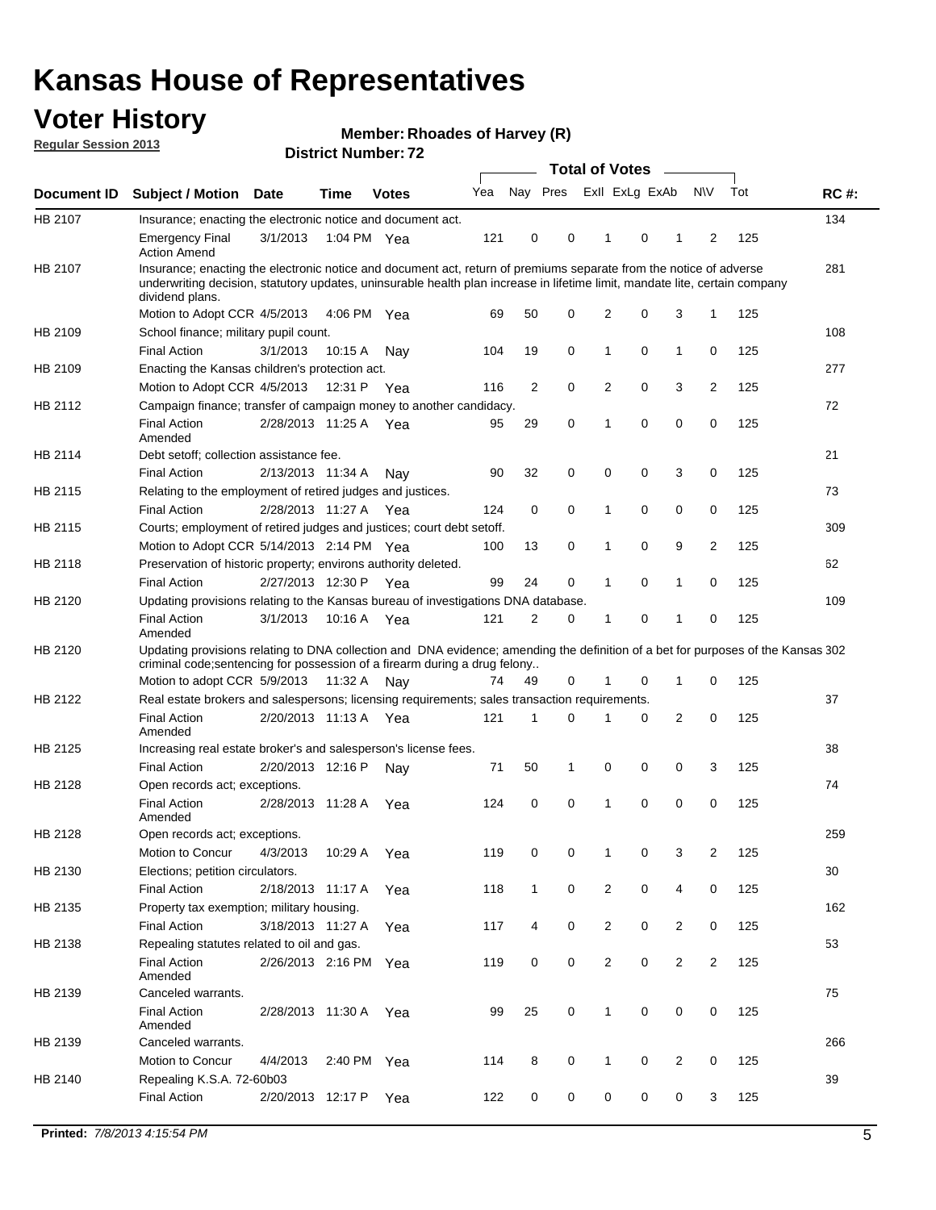## **Voter History**

**Member: Rhoades of Harvey (R)** 

**Regular Session 2013**

|             |                                                                                                                                                                                                                                                                      |                       | ו הסעוווענו וענווע <del>ט</del> |              |     |              | <b>Total of Votes</b> |                |   | $\overline{\phantom{a}}$ |                |     |             |
|-------------|----------------------------------------------------------------------------------------------------------------------------------------------------------------------------------------------------------------------------------------------------------------------|-----------------------|---------------------------------|--------------|-----|--------------|-----------------------|----------------|---|--------------------------|----------------|-----|-------------|
| Document ID | <b>Subject / Motion</b>                                                                                                                                                                                                                                              | <b>Date</b>           | <b>Time</b>                     | <b>Votes</b> | Yea | Nay Pres     |                       | Exll ExLg ExAb |   |                          | <b>NV</b>      | Tot | <b>RC#:</b> |
| HB 2107     | Insurance; enacting the electronic notice and document act.                                                                                                                                                                                                          |                       |                                 |              |     |              |                       |                |   |                          |                |     | 134         |
|             | <b>Emergency Final</b><br><b>Action Amend</b>                                                                                                                                                                                                                        | 3/1/2013              | 1:04 PM Yea                     |              | 121 | 0            | 0                     | 1              | 0 | 1                        | 2              | 125 |             |
| HB 2107     | Insurance; enacting the electronic notice and document act, return of premiums separate from the notice of adverse<br>underwriting decision, statutory updates, uninsurable health plan increase in lifetime limit, mandate lite, certain company<br>dividend plans. |                       |                                 |              |     |              |                       |                |   |                          |                |     | 281         |
|             | Motion to Adopt CCR 4/5/2013                                                                                                                                                                                                                                         |                       | 4:06 PM Yea                     |              | 69  | 50           | 0                     | 2              | 0 | 3                        | $\mathbf{1}$   | 125 |             |
| HB 2109     | School finance; military pupil count.                                                                                                                                                                                                                                |                       |                                 |              |     |              |                       |                |   |                          |                |     | 108         |
|             | <b>Final Action</b>                                                                                                                                                                                                                                                  | 3/1/2013              | 10:15A                          | Nav          | 104 | 19           | 0                     | 1              | 0 | $\mathbf{1}$             | 0              | 125 |             |
| HB 2109     | Enacting the Kansas children's protection act.                                                                                                                                                                                                                       |                       |                                 |              |     |              |                       |                |   |                          |                |     | 277         |
|             | Motion to Adopt CCR 4/5/2013                                                                                                                                                                                                                                         |                       | 12:31 P Yea                     |              | 116 | 2            | 0                     | $\overline{2}$ | 0 | 3                        | 2              | 125 |             |
| HB 2112     | Campaign finance; transfer of campaign money to another candidacy.                                                                                                                                                                                                   |                       |                                 |              |     |              |                       |                |   |                          |                |     | 72          |
|             | <b>Final Action</b><br>Amended                                                                                                                                                                                                                                       | 2/28/2013 11:25 A Yea |                                 |              | 95  | 29           | 0                     | 1              | 0 | 0                        | 0              | 125 |             |
| HB 2114     | Debt setoff: collection assistance fee.                                                                                                                                                                                                                              |                       |                                 |              |     |              |                       |                |   |                          |                |     | 21          |
|             | <b>Final Action</b>                                                                                                                                                                                                                                                  | 2/13/2013 11:34 A     |                                 | Nay          | 90  | 32           | 0                     | 0              | 0 | 3                        | 0              | 125 |             |
| HB 2115     | Relating to the employment of retired judges and justices.                                                                                                                                                                                                           |                       |                                 |              |     |              |                       |                |   |                          |                |     | 73          |
|             | <b>Final Action</b>                                                                                                                                                                                                                                                  | 2/28/2013 11:27 A     |                                 | Yea          | 124 | 0            | 0                     | 1              | 0 | 0                        | 0              | 125 |             |
| HB 2115     | Courts; employment of retired judges and justices; court debt setoff.                                                                                                                                                                                                |                       |                                 |              |     |              |                       |                |   |                          |                |     | 309         |
|             | Motion to Adopt CCR 5/14/2013 2:14 PM Yea                                                                                                                                                                                                                            |                       |                                 |              | 100 | 13           | 0                     | 1              | 0 | 9                        | 2              | 125 |             |
| HB 2118     | Preservation of historic property; environs authority deleted.                                                                                                                                                                                                       |                       |                                 |              |     |              |                       |                |   |                          |                |     | 62          |
|             | <b>Final Action</b>                                                                                                                                                                                                                                                  | 2/27/2013 12:30 P     |                                 | Yea          | 99  | 24           | 0                     | 1              | 0 | $\mathbf{1}$             | 0              | 125 |             |
| HB 2120     | Updating provisions relating to the Kansas bureau of investigations DNA database.                                                                                                                                                                                    |                       |                                 |              |     |              |                       |                |   |                          |                |     | 109         |
|             | <b>Final Action</b><br>Amended                                                                                                                                                                                                                                       | 3/1/2013              | 10:16 A                         | Yea          | 121 | 2            | 0                     | 1              | 0 | 1                        | 0              | 125 |             |
| HB 2120     | Updating provisions relating to DNA collection and DNA evidence; amending the definition of a bet for purposes of the Kansas 302<br>criminal code; sentencing for possession of a firearm during a drug felony<br>Motion to adopt CCR 5/9/2013 11:32 A               |                       |                                 | Nav          | 74  | 49           | 0                     | 1              | 0 | $\mathbf 1$              | 0              | 125 |             |
| HB 2122     | Real estate brokers and salespersons; licensing requirements; sales transaction requirements.                                                                                                                                                                        |                       |                                 |              |     |              |                       |                |   |                          |                |     | 37          |
|             | <b>Final Action</b><br>Amended                                                                                                                                                                                                                                       | 2/20/2013 11:13 A Yea |                                 |              | 121 | 1            | 0                     |                | 0 | 2                        | 0              | 125 |             |
| HB 2125     | Increasing real estate broker's and salesperson's license fees.                                                                                                                                                                                                      |                       |                                 |              |     |              |                       |                |   |                          |                |     | 38          |
|             | <b>Final Action</b>                                                                                                                                                                                                                                                  | 2/20/2013 12:16 P     |                                 | Nay          | 71  | 50           | 1                     | 0              | 0 | 0                        | 3              | 125 |             |
| HB 2128     | Open records act; exceptions.                                                                                                                                                                                                                                        |                       |                                 |              |     |              |                       |                |   |                          |                |     | 74          |
|             | <b>Final Action</b><br>Amended                                                                                                                                                                                                                                       | 2/28/2013 11:28 A     |                                 | Yea          | 124 | 0            | 0                     | 1              | 0 | 0                        | 0              | 125 |             |
| HB 2128     | Open records act; exceptions.                                                                                                                                                                                                                                        |                       |                                 |              |     |              |                       |                |   |                          |                |     | 259         |
|             | Motion to Concur                                                                                                                                                                                                                                                     | 4/3/2013              | 10:29 A                         | Yea          | 119 | 0            | 0                     | 1              | 0 | 3                        | 2              | 125 |             |
| HB 2130     | Elections; petition circulators.                                                                                                                                                                                                                                     |                       |                                 |              |     |              |                       |                |   |                          |                |     | 30          |
|             | <b>Final Action</b>                                                                                                                                                                                                                                                  | 2/18/2013 11:17 A     |                                 | Yea          | 118 | $\mathbf{1}$ | 0                     | $\overline{c}$ | 0 | 4                        | 0              | 125 |             |
| HB 2135     | Property tax exemption; military housing.                                                                                                                                                                                                                            |                       |                                 |              |     |              |                       |                |   |                          |                |     | 162         |
|             | <b>Final Action</b>                                                                                                                                                                                                                                                  | 3/18/2013 11:27 A     |                                 | Yea          | 117 | 4            | 0                     | $\overline{2}$ | 0 | 2                        | 0              | 125 |             |
| HB 2138     | Repealing statutes related to oil and gas.                                                                                                                                                                                                                           |                       |                                 |              |     |              |                       |                |   |                          |                |     | 53          |
|             | <b>Final Action</b><br>Amended                                                                                                                                                                                                                                       | 2/26/2013 2:16 PM Yea |                                 |              | 119 | 0            | 0                     | 2              | 0 | $\overline{2}$           | $\overline{2}$ | 125 |             |
| HB 2139     | Canceled warrants.                                                                                                                                                                                                                                                   |                       |                                 |              |     |              |                       |                |   |                          |                |     | 75          |
|             | <b>Final Action</b><br>Amended                                                                                                                                                                                                                                       | 2/28/2013 11:30 A     |                                 | Yea          | 99  | 25           | 0                     | 1              | 0 | 0                        | 0              | 125 |             |
| HB 2139     | Canceled warrants.                                                                                                                                                                                                                                                   |                       |                                 |              |     |              |                       |                |   |                          |                |     | 266         |
|             | Motion to Concur                                                                                                                                                                                                                                                     | 4/4/2013              | 2:40 PM Yea                     |              | 114 | 8            | 0                     | 1              | 0 | 2                        | 0              | 125 |             |
| HB 2140     | Repealing K.S.A. 72-60b03                                                                                                                                                                                                                                            |                       |                                 |              |     |              |                       |                |   |                          |                |     | 39          |
|             | <b>Final Action</b>                                                                                                                                                                                                                                                  | 2/20/2013 12:17 P     |                                 | Yea          | 122 | 0            | 0                     | 0              | 0 | 0                        | 3              | 125 |             |
|             |                                                                                                                                                                                                                                                                      |                       |                                 |              |     |              |                       |                |   |                          |                |     |             |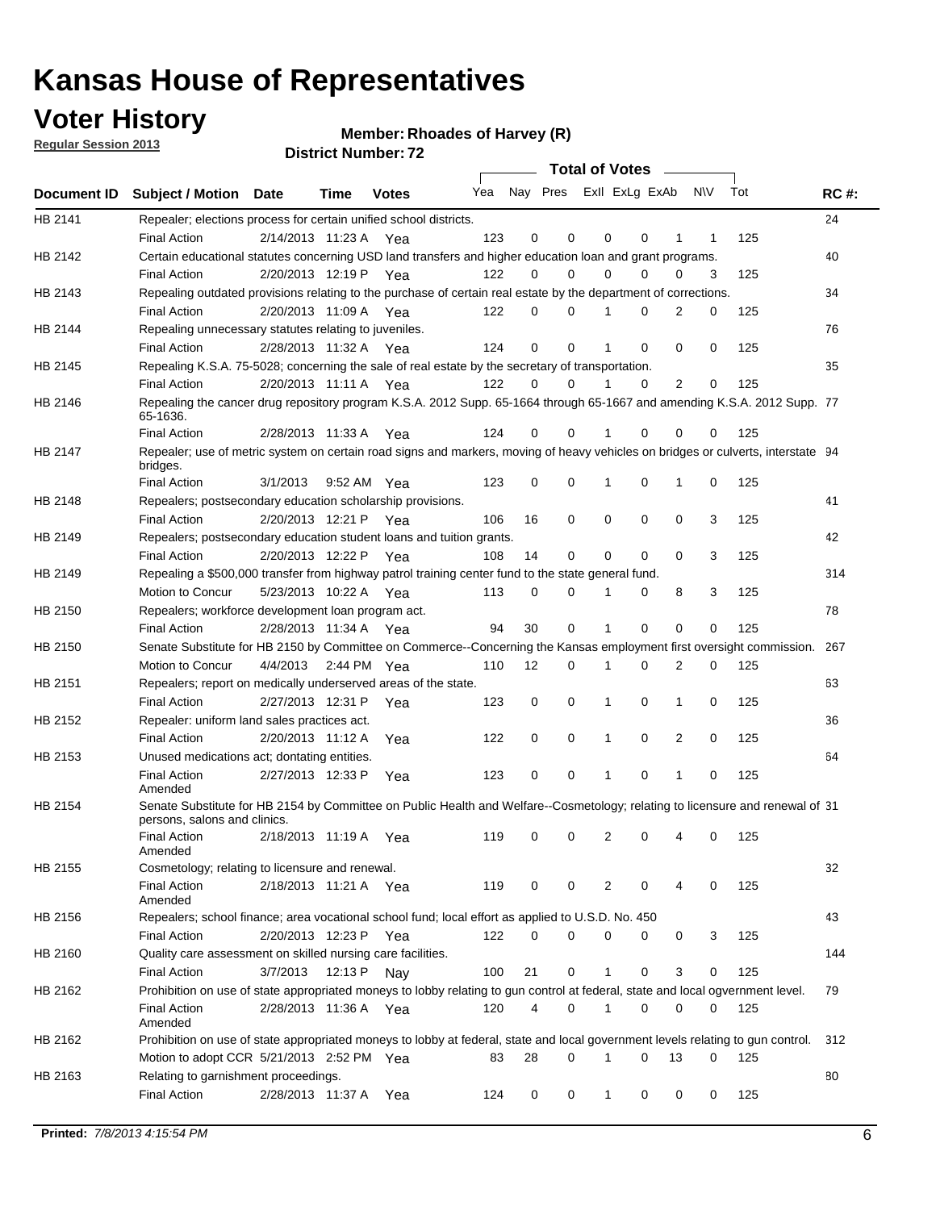**Voter History** 

**Member: Rhoades of Harvey (R)** 

**Regular Session 2013**

|                |                                                                                                                                              |          |                       |              |                             |    | <b>Total of Votes</b> |              |          | $\sim$      |     |     |             |
|----------------|----------------------------------------------------------------------------------------------------------------------------------------------|----------|-----------------------|--------------|-----------------------------|----|-----------------------|--------------|----------|-------------|-----|-----|-------------|
|                | Document ID Subject / Motion Date                                                                                                            |          | Time                  | <b>Votes</b> | Yea Nay Pres ExII ExLg ExAb |    |                       |              |          |             | N\V | Tot | <b>RC#:</b> |
| HB 2141        | Repealer; elections process for certain unified school districts.                                                                            |          |                       |              |                             |    |                       |              |          |             |     |     | 24          |
|                | <b>Final Action</b>                                                                                                                          |          | 2/14/2013 11:23 A     | Yea          | 123                         | 0  | 0                     | 0            | 0        | 1           | 1   | 125 |             |
| HB 2142        | Certain educational statutes concerning USD land transfers and higher education loan and grant programs.                                     |          |                       |              |                             |    |                       |              |          |             |     |     | 40          |
|                | <b>Final Action</b>                                                                                                                          |          | 2/20/2013 12:19 P     | Yea          | 122                         | 0  | 0                     | 0            | 0        | 0           | 3   | 125 |             |
| HB 2143        | Repealing outdated provisions relating to the purchase of certain real estate by the department of corrections.                              |          |                       |              |                             |    |                       |              |          |             |     |     | 34          |
|                | <b>Final Action</b>                                                                                                                          |          | 2/20/2013 11:09 A Yea |              | 122                         | 0  | 0                     |              | 0        | 2           | 0   | 125 |             |
| HB 2144        | Repealing unnecessary statutes relating to juveniles.                                                                                        |          |                       |              |                             |    |                       |              |          |             |     |     | 76          |
|                | <b>Final Action</b>                                                                                                                          |          | 2/28/2013 11:32 A Yea |              | 124                         | 0  | 0                     |              | 0        | 0           | 0   | 125 |             |
| <b>HB 2145</b> | Repealing K.S.A. 75-5028; concerning the sale of real estate by the secretary of transportation.                                             |          |                       |              |                             |    |                       |              |          |             |     |     | 35          |
|                | <b>Final Action</b>                                                                                                                          |          | 2/20/2013 11:11 A Yea |              | 122                         | 0  | 0                     |              | 0        | 2           | 0   | 125 |             |
| HB 2146        | Repealing the cancer drug repository program K.S.A. 2012 Supp. 65-1664 through 65-1667 and amending K.S.A. 2012 Supp. 77<br>65-1636.         |          |                       |              |                             |    |                       |              |          |             |     |     |             |
|                | <b>Final Action</b>                                                                                                                          |          | 2/28/2013 11:33 A     | Yea          | 124                         | 0  | 0                     |              | 0        | 0           | 0   | 125 |             |
| HB 2147        | Repealer; use of metric system on certain road signs and markers, moving of heavy vehicles on bridges or culverts, interstate 94<br>bridges. |          |                       |              |                             |    |                       |              |          |             |     |     |             |
|                | <b>Final Action</b>                                                                                                                          | 3/1/2013 |                       | 9:52 AM Yea  | 123                         | 0  | 0                     | 1            | 0        | 1           | 0   | 125 |             |
| HB 2148        | Repealers; postsecondary education scholarship provisions.                                                                                   |          |                       |              |                             |    |                       |              |          |             |     |     | 41          |
|                | <b>Final Action</b>                                                                                                                          |          | 2/20/2013 12:21 P Yea |              | 106                         | 16 | 0                     | 0            | 0        | 0           | 3   | 125 |             |
| HB 2149        | Repealers; postsecondary education student loans and tuition grants.                                                                         |          |                       |              |                             |    |                       |              |          |             |     |     | 42          |
|                | <b>Final Action</b>                                                                                                                          |          | 2/20/2013 12:22 P     | Yea          | 108                         | 14 | 0                     | 0            | 0        | $\Omega$    | 3   | 125 |             |
| HB 2149        | Repealing a \$500,000 transfer from highway patrol training center fund to the state general fund.                                           |          |                       |              |                             |    |                       |              |          |             |     |     | 314         |
|                | Motion to Concur                                                                                                                             |          | 5/23/2013 10:22 A Yea |              | 113                         | 0  | 0                     |              | 0        | 8           | 3   | 125 |             |
| HB 2150        | Repealers; workforce development loan program act.                                                                                           |          |                       |              |                             |    |                       |              |          |             |     |     | 78          |
|                | <b>Final Action</b>                                                                                                                          |          | 2/28/2013 11:34 A Yea |              | 94                          | 30 | 0                     | 1            | 0        | $\mathbf 0$ | 0   | 125 |             |
| HB 2150        | Senate Substitute for HB 2150 by Committee on Commerce--Concerning the Kansas employment first oversight commission.                         |          |                       |              |                             |    |                       |              |          |             |     |     | 267         |
|                | Motion to Concur                                                                                                                             | 4/4/2013 |                       | 2:44 PM Yea  | 110                         | 12 | 0                     | 1            | 0        | 2           | 0   | 125 |             |
| HB 2151        | Repealers; report on medically underserved areas of the state.                                                                               |          |                       |              |                             |    |                       |              |          |             |     |     | 63          |
|                | <b>Final Action</b>                                                                                                                          |          | 2/27/2013 12:31 P     | Yea          | 123                         | 0  | 0                     | 1            | 0        | 1           | 0   | 125 |             |
| HB 2152        | Repealer: uniform land sales practices act.                                                                                                  |          |                       |              |                             |    |                       |              |          |             |     |     | 36          |
|                | <b>Final Action</b>                                                                                                                          |          | 2/20/2013 11:12 A     | Yea          | 122                         | 0  | 0                     | 1            | 0        | 2           | 0   | 125 |             |
| HB 2153        | Unused medications act; dontating entities.                                                                                                  |          |                       |              |                             |    |                       |              |          |             |     |     | 64          |
|                | <b>Final Action</b><br>Amended                                                                                                               |          | 2/27/2013 12:33 P     | Yea          | 123                         | 0  | 0                     |              | 0        | 1           | 0   | 125 |             |
| HB 2154        | Senate Substitute for HB 2154 by Committee on Public Health and Welfare--Cosmetology; relating to licensure and renewal of 31                |          |                       |              |                             |    |                       |              |          |             |     |     |             |
|                | persons, salons and clinics.<br><b>Final Action</b>                                                                                          |          | 2/18/2013 11:19 A     | Yea          | 119                         | 0  | 0                     | 2            | 0        |             | 0   | 125 |             |
| HB 2155        | Amended<br>Cosmetology; relating to licensure and renewal.                                                                                   |          |                       |              |                             |    |                       |              |          |             |     |     | 32          |
|                | <b>Final Action</b>                                                                                                                          |          | 2/18/2013 11:21 A Yea |              | 119                         | 0  | 0                     | 2            | 0        | 4           | 0   | 125 |             |
|                | Amended                                                                                                                                      |          |                       |              |                             |    |                       |              |          |             |     |     |             |
| HB 2156        | Repealers; school finance; area vocational school fund; local effort as applied to U.S.D. No. 450                                            |          |                       |              |                             |    |                       |              |          |             |     |     | 43          |
|                | <b>Final Action</b>                                                                                                                          |          | 2/20/2013 12:23 P     | Yea          | 122                         | 0  | 0                     | 0            | 0        | 0           | 3   | 125 |             |
| HB 2160        | Quality care assessment on skilled nursing care facilities.                                                                                  |          |                       |              |                             |    |                       |              |          |             |     |     | 144         |
|                | <b>Final Action</b>                                                                                                                          | 3/7/2013 | 12:13 P               | Nay          | 100                         | 21 | 0                     | $\mathbf{1}$ | 0        | 3           | 0   | 125 |             |
| HB 2162        | Prohibition on use of state appropriated moneys to lobby relating to gun control at federal, state and local ogvernment level.               |          |                       |              |                             |    |                       |              |          |             |     |     | 79          |
|                | <b>Final Action</b><br>Amended                                                                                                               |          | 2/28/2013 11:36 A Yea |              | 120                         | 4  | 0                     | 1            | 0        | 0           | 0   | 125 |             |
| HB 2162        | Prohibition on use of state appropriated moneys to lobby at federal, state and local government levels relating to gun control.              |          |                       |              |                             |    |                       |              |          |             |     |     | 312         |
|                | Motion to adopt CCR 5/21/2013 2:52 PM Yea                                                                                                    |          |                       |              | 83                          | 28 | 0                     | 1            | $\Omega$ | 13          | 0   | 125 |             |
| HB 2163        | Relating to garnishment proceedings.                                                                                                         |          |                       |              |                             |    |                       |              |          |             |     |     | 80          |
|                | <b>Final Action</b>                                                                                                                          |          | 2/28/2013 11:37 A     | Yea          | 124                         | 0  | 0                     | $\mathbf{1}$ | 0        | 0           | 0   | 125 |             |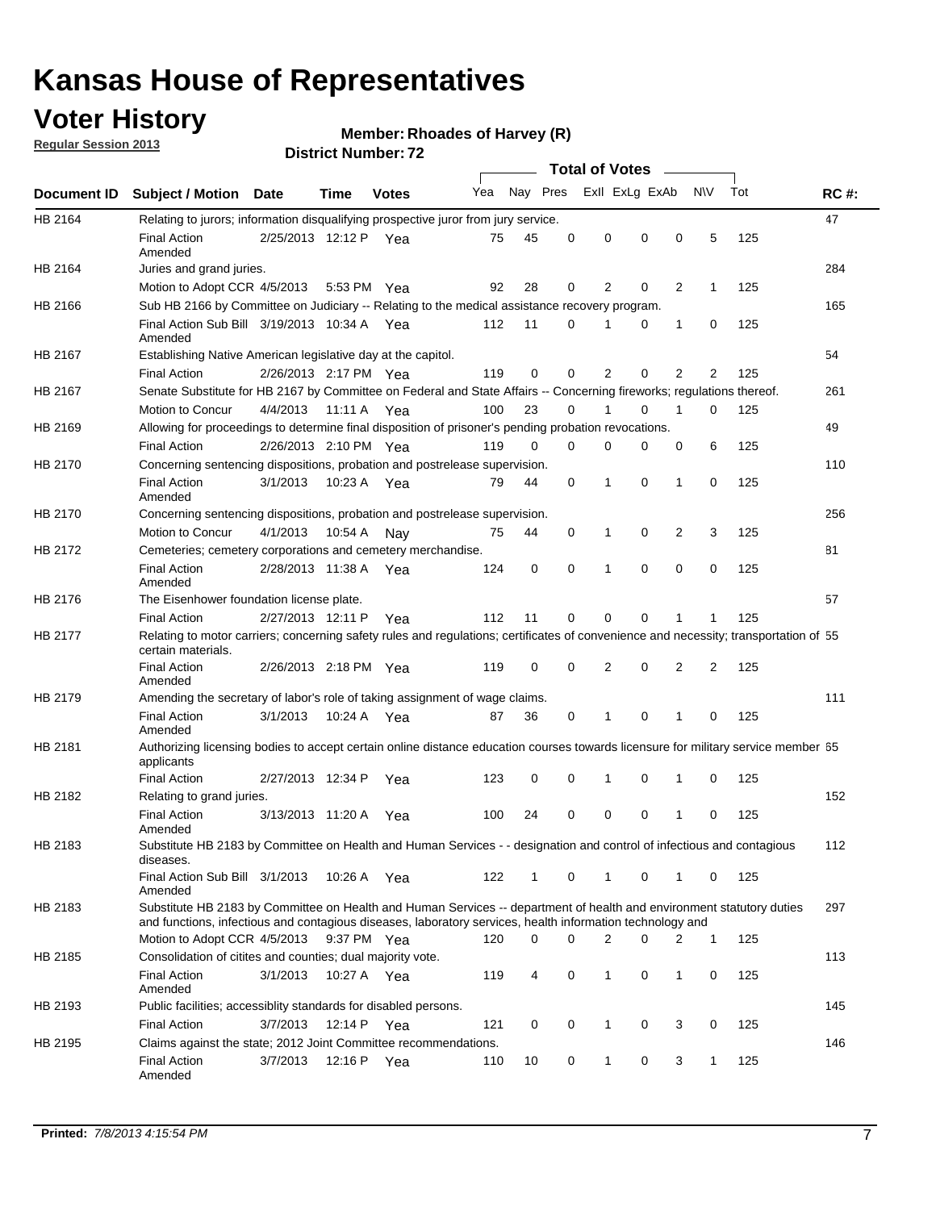## **Voter History**

**Regular Session 2013**

#### **Member: Rhoades of Harvey (R)**

|             |                                                                                                                                                                                                                                    |                       |             | ו הסעוווטנו ועם הסוכות <b>ב</b> |     |              |          | <b>Total of Votes</b> |          | $\sim$         |              |     |             |
|-------------|------------------------------------------------------------------------------------------------------------------------------------------------------------------------------------------------------------------------------------|-----------------------|-------------|---------------------------------|-----|--------------|----------|-----------------------|----------|----------------|--------------|-----|-------------|
| Document ID | <b>Subject / Motion Date</b>                                                                                                                                                                                                       |                       | <b>Time</b> | <b>Votes</b>                    | Yea | Nay Pres     |          | Exll ExLg ExAb        |          |                | <b>NV</b>    | Tot | <b>RC#:</b> |
| HB 2164     | Relating to jurors; information disqualifying prospective juror from jury service.                                                                                                                                                 |                       |             |                                 |     |              |          |                       |          |                |              |     | 47          |
|             | <b>Final Action</b><br>Amended                                                                                                                                                                                                     | 2/25/2013 12:12 P Yea |             |                                 | 75  | 45           | 0        | 0                     | 0        | 0              | 5            | 125 |             |
| HB 2164     | Juries and grand juries.                                                                                                                                                                                                           |                       |             |                                 |     |              |          |                       |          |                |              |     | 284         |
|             | Motion to Adopt CCR 4/5/2013                                                                                                                                                                                                       |                       | 5:53 PM Yea |                                 | 92  | 28           | 0        | 2                     | 0        | $\overline{2}$ | 1            | 125 |             |
| HB 2166     | Sub HB 2166 by Committee on Judiciary -- Relating to the medical assistance recovery program.                                                                                                                                      |                       |             |                                 |     |              |          |                       |          |                |              |     | 165         |
|             | Final Action Sub Bill 3/19/2013 10:34 A Yea<br>Amended                                                                                                                                                                             |                       |             |                                 | 112 | 11           | $\Omega$ | 1                     | 0        | 1              | 0            | 125 |             |
| HB 2167     | Establishing Native American legislative day at the capitol.                                                                                                                                                                       |                       |             |                                 |     |              |          |                       |          |                |              |     | 54          |
|             | <b>Final Action</b>                                                                                                                                                                                                                | 2/26/2013 2:17 PM Yea |             |                                 | 119 | 0            | 0        | 2                     | 0        | $\overline{2}$ | 2            | 125 |             |
| HB 2167     | Senate Substitute for HB 2167 by Committee on Federal and State Affairs -- Concerning fireworks; regulations thereof.                                                                                                              |                       |             |                                 |     |              |          |                       |          |                |              |     | 261         |
|             | Motion to Concur                                                                                                                                                                                                                   | 4/4/2013              | 11:11 A Yea |                                 | 100 | 23           | 0        | 1                     | 0        | 1              | 0            | 125 |             |
| HB 2169     | Allowing for proceedings to determine final disposition of prisoner's pending probation revocations.                                                                                                                               |                       |             |                                 |     |              |          |                       |          |                |              |     | 49          |
|             | <b>Final Action</b>                                                                                                                                                                                                                | 2/26/2013 2:10 PM Yea |             |                                 | 119 | 0            | 0        | 0                     | 0        | 0              | 6            | 125 |             |
| HB 2170     | Concerning sentencing dispositions, probation and postrelease supervision.                                                                                                                                                         |                       |             |                                 |     |              |          |                       |          |                |              |     | 110         |
|             | <b>Final Action</b><br>Amended                                                                                                                                                                                                     | 3/1/2013              | 10:23 A Yea |                                 | 79  | 44           | 0        | 1                     | 0        | 1              | 0            | 125 |             |
| HB 2170     | Concerning sentencing dispositions, probation and postrelease supervision.                                                                                                                                                         |                       |             |                                 |     |              |          |                       |          |                |              |     | 256         |
|             | Motion to Concur                                                                                                                                                                                                                   | 4/1/2013              | 10:54 A     | Nay                             | 75  | 44           | 0        | 1                     | 0        | $\overline{2}$ | 3            | 125 |             |
| HB 2172     | Cemeteries; cemetery corporations and cemetery merchandise.                                                                                                                                                                        |                       |             |                                 |     |              |          |                       |          |                |              |     | 81          |
|             | <b>Final Action</b><br>Amended                                                                                                                                                                                                     | 2/28/2013 11:38 A     |             | Yea                             | 124 | 0            | 0        | 1                     | $\Omega$ | $\Omega$       | 0            | 125 |             |
| HB 2176     | The Eisenhower foundation license plate.                                                                                                                                                                                           |                       |             |                                 |     |              |          |                       |          |                |              |     | 57          |
|             | <b>Final Action</b>                                                                                                                                                                                                                | 2/27/2013 12:11 P     |             | Yea                             | 112 | 11           | 0        | 0                     | 0        | 1              | 1            | 125 |             |
| HB 2177     | Relating to motor carriers; concerning safety rules and regulations; certificates of convenience and necessity; transportation of 55<br>certain materials.                                                                         |                       |             |                                 |     |              |          |                       |          |                |              |     |             |
|             | <b>Final Action</b><br>Amended                                                                                                                                                                                                     | 2/26/2013 2:18 PM Yea |             |                                 | 119 | 0            | $\Omega$ | 2                     | 0        | $\overline{2}$ | 2            | 125 |             |
| HB 2179     | Amending the secretary of labor's role of taking assignment of wage claims.                                                                                                                                                        |                       |             |                                 |     |              |          |                       |          |                |              |     | 111         |
|             | <b>Final Action</b><br>Amended                                                                                                                                                                                                     | 3/1/2013              | 10:24 A Yea |                                 | 87  | 36           | 0        | 1                     | 0        | 1              | 0            | 125 |             |
| HB 2181     | Authorizing licensing bodies to accept certain online distance education courses towards licensure for military service member 55<br>applicants                                                                                    |                       |             |                                 |     |              |          |                       |          |                |              |     |             |
|             | <b>Final Action</b>                                                                                                                                                                                                                | 2/27/2013 12:34 P     |             | Yea                             | 123 | 0            | 0        | 1                     | 0        | 1              | 0            | 125 |             |
| HB 2182     | Relating to grand juries.                                                                                                                                                                                                          |                       |             |                                 |     |              |          |                       |          |                |              |     | 152         |
|             | <b>Final Action</b><br>Amended                                                                                                                                                                                                     | 3/13/2013 11:20 A     |             | Yea                             | 100 | 24           | 0        | 0                     | 0        | 1              | 0            | 125 |             |
| HB 2183     | Substitute HB 2183 by Committee on Health and Human Services - - designation and control of infectious and contagious<br>diseases.                                                                                                 |                       |             |                                 |     |              |          |                       |          |                |              |     | 112         |
|             | Final Action Sub Bill 3/1/2013<br>Amended                                                                                                                                                                                          |                       | 10:26 A Yea |                                 | 122 | $\mathbf{1}$ | 0        | 1                     | 0        | 1              | 0            | 125 |             |
| HB 2183     | Substitute HB 2183 by Committee on Health and Human Services -- department of health and environment statutory duties<br>and functions, infectious and contagious diseases, laboratory services, health information technology and |                       |             |                                 |     |              |          |                       |          |                |              |     | 297         |
|             | Motion to Adopt CCR 4/5/2013                                                                                                                                                                                                       |                       | 9:37 PM Yea |                                 | 120 | 0            | 0        | 2                     | 0        | 2              | 1            | 125 |             |
| HB 2185     | Consolidation of citites and counties; dual majority vote.                                                                                                                                                                         |                       |             |                                 |     |              |          |                       |          |                |              |     | 113         |
|             | <b>Final Action</b><br>Amended                                                                                                                                                                                                     | 3/1/2013              | 10:27 A Yea |                                 | 119 | 4            | 0        | 1                     | 0        | $\mathbf{1}$   | 0            | 125 |             |
| HB 2193     | Public facilities; accessiblity standards for disabled persons.                                                                                                                                                                    |                       |             |                                 |     |              |          |                       |          |                |              |     | 145         |
|             | <b>Final Action</b>                                                                                                                                                                                                                | 3/7/2013              | 12:14 P     | Yea                             | 121 | 0            | 0        | 1                     | 0        | 3              | 0            | 125 |             |
| HB 2195     | Claims against the state; 2012 Joint Committee recommendations.                                                                                                                                                                    |                       |             |                                 |     |              |          |                       |          |                |              |     | 146         |
|             | <b>Final Action</b><br>Amended                                                                                                                                                                                                     | 3/7/2013              | 12:16 P Yea |                                 | 110 | 10           | 0        | 1                     | 0        | 3              | $\mathbf{1}$ | 125 |             |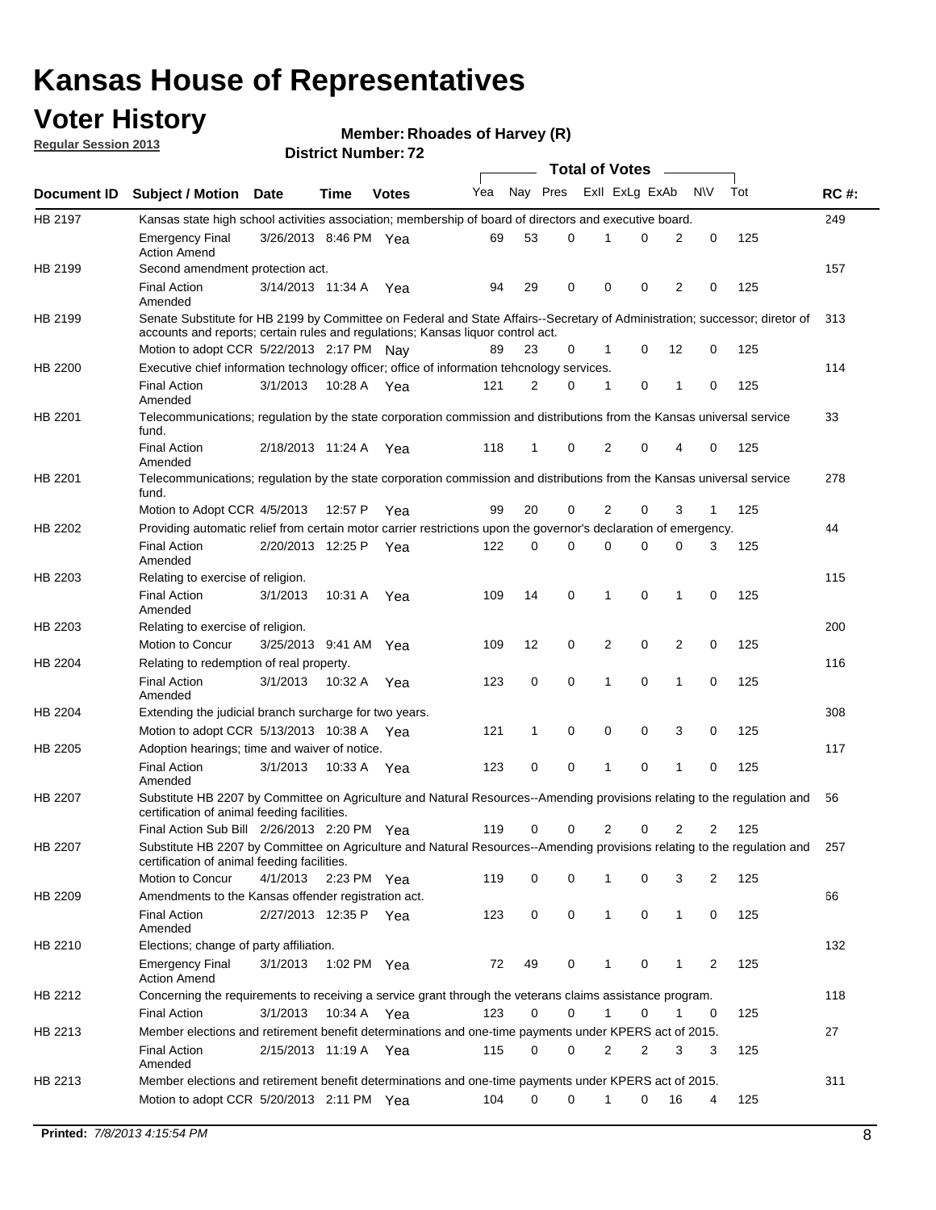## **Voter History**

**Member: Rhoades of Harvey (R)** 

**Regular Session 2013**

|                |                                                                                                                                                                             |                       |             |              |     |          |          | <b>Total of Votes</b> |   |              |            |     |             |
|----------------|-----------------------------------------------------------------------------------------------------------------------------------------------------------------------------|-----------------------|-------------|--------------|-----|----------|----------|-----------------------|---|--------------|------------|-----|-------------|
| Document ID    | <b>Subject / Motion Date</b>                                                                                                                                                |                       | Time        | <b>Votes</b> | Yea | Nay Pres |          | Exll ExLg ExAb        |   |              | <b>N/A</b> | Tot | <b>RC#:</b> |
| HB 2197        | Kansas state high school activities association; membership of board of directors and executive board.                                                                      |                       |             |              |     |          |          |                       |   |              |            |     | 249         |
|                | <b>Emergency Final</b><br><b>Action Amend</b>                                                                                                                               | 3/26/2013 8:46 PM Yea |             |              | 69  | 53       | 0        |                       | 0 | 2            | 0          | 125 |             |
| HB 2199        | Second amendment protection act.                                                                                                                                            |                       |             |              |     |          |          |                       |   |              |            |     | 157         |
|                | <b>Final Action</b><br>Amended                                                                                                                                              | 3/14/2013 11:34 A     |             | Yea          | 94  | 29       | 0        | 0                     | 0 | 2            | 0          | 125 |             |
| HB 2199        | Senate Substitute for HB 2199 by Committee on Federal and State Affairs--Secretary of Administration; successor; diretor of                                                 |                       |             |              |     |          |          |                       |   |              |            |     | 313         |
|                | accounts and reports; certain rules and regulations; Kansas liguor control act.                                                                                             |                       |             |              |     |          |          |                       |   |              |            |     |             |
|                | Motion to adopt CCR 5/22/2013 2:17 PM Nav                                                                                                                                   |                       |             |              | 89  | 23       | 0        | 1                     | 0 | 12           | 0          | 125 |             |
| HB 2200        | Executive chief information technology officer; office of information tehcnology services.                                                                                  |                       |             |              |     |          |          |                       |   |              |            |     | 114         |
|                | <b>Final Action</b><br>Amended                                                                                                                                              | 3/1/2013              | 10:28 A     | Yea          | 121 | 2        | 0        | 1                     | 0 | 1            | 0          | 125 |             |
| HB 2201        | Telecommunications; regulation by the state corporation commission and distributions from the Kansas universal service<br>fund.                                             |                       |             |              |     |          |          |                       |   |              |            |     | 33          |
|                | <b>Final Action</b><br>Amended                                                                                                                                              | 2/18/2013 11:24 A     |             | Yea          | 118 | 1        | 0        | 2                     | 0 | 4            | 0          | 125 |             |
| HB 2201        | Telecommunications; regulation by the state corporation commission and distributions from the Kansas universal service<br>fund.                                             |                       |             |              |     |          |          |                       |   |              |            |     | 278         |
|                | Motion to Adopt CCR 4/5/2013                                                                                                                                                |                       | 12:57 P     | Yea          | 99  | 20       | 0        | 2                     | 0 | 3            | 1          | 125 |             |
| HB 2202        | Providing automatic relief from certain motor carrier restrictions upon the governor's declaration of emergency.                                                            |                       |             |              |     |          |          |                       |   |              |            |     | 44          |
|                | <b>Final Action</b><br>Amended                                                                                                                                              | 2/20/2013 12:25 P     |             | Yea          | 122 | 0        | 0        | 0                     | 0 | 0            | 3          | 125 |             |
| HB 2203        | Relating to exercise of religion.                                                                                                                                           |                       |             |              |     |          |          |                       |   |              |            |     | 115         |
|                | <b>Final Action</b><br>Amended                                                                                                                                              | 3/1/2013              | 10:31 A     | Yea          | 109 | 14       | 0        | 1                     | 0 | 1            | 0          | 125 |             |
| HB 2203        | Relating to exercise of religion.                                                                                                                                           |                       |             |              |     |          |          |                       |   |              |            |     | 200         |
|                | Motion to Concur                                                                                                                                                            | 3/25/2013 9:41 AM     |             | Yea          | 109 | 12       | 0        | 2                     | 0 | 2            | 0          | 125 |             |
| HB 2204        | Relating to redemption of real property.                                                                                                                                    |                       |             |              |     |          |          |                       |   |              |            |     | 116         |
|                | <b>Final Action</b><br>Amended                                                                                                                                              | 3/1/2013              | 10:32 A     | Yea          | 123 | 0        | 0        | 1                     | 0 | 1            | 0          | 125 |             |
| HB 2204        | Extending the judicial branch surcharge for two years.                                                                                                                      |                       |             |              |     |          |          |                       |   |              |            |     | 308         |
|                | Motion to adopt CCR 5/13/2013 10:38 A                                                                                                                                       |                       |             | Yea          | 121 | 1        | 0        | 0                     | 0 | 3            | 0          | 125 |             |
| HB 2205        | Adoption hearings; time and waiver of notice.                                                                                                                               |                       |             |              |     |          |          |                       |   |              |            |     | 117         |
|                | <b>Final Action</b><br>Amended                                                                                                                                              | 3/1/2013              | 10:33 A Yea |              | 123 | 0        | 0        | 1                     | 0 | 1            | 0          | 125 |             |
| HB 2207        | Substitute HB 2207 by Committee on Agriculture and Natural Resources--Amending provisions relating to the regulation and<br>certification of animal feeding facilities.     |                       |             |              |     |          |          |                       |   |              |            |     | 56          |
|                | Final Action Sub Bill 2/26/2013 2:20 PM Yea                                                                                                                                 |                       |             |              | 119 | 0        | 0        | 2                     | 0 | 2            | 2          | 125 |             |
| <b>HB 2207</b> | Substitute HB 2207 by Committee on Agriculture and Natural Resources--Amending provisions relating to the regulation and 257<br>certification of animal feeding facilities. |                       |             |              |     |          |          |                       |   |              |            |     |             |
|                | Motion to Concur                                                                                                                                                            | 4/1/2013 2:23 PM Yea  |             |              | 119 | 0        | 0        | 1                     | 0 | 3            | 2          | 125 |             |
| HB 2209        | Amendments to the Kansas offender registration act.                                                                                                                         |                       |             |              |     |          |          |                       |   |              |            |     | 66          |
|                | Final Action<br>Amended                                                                                                                                                     | 2/27/2013 12:35 P Yea |             |              | 123 | 0        | 0        | $\mathbf{1}$          | 0 | $\mathbf{1}$ | 0          | 125 |             |
| HB 2210        | Elections; change of party affiliation.                                                                                                                                     |                       |             |              |     |          |          |                       |   |              |            |     | 132         |
|                | <b>Emergency Final</b><br><b>Action Amend</b>                                                                                                                               | 3/1/2013              | 1:02 PM Yea |              | 72  | 49       | 0        |                       | 0 | 1            | 2          | 125 |             |
| HB 2212        | Concerning the requirements to receiving a service grant through the veterans claims assistance program.                                                                    |                       |             |              |     |          |          |                       |   |              |            |     | 118         |
|                | Final Action                                                                                                                                                                | 3/1/2013              | 10:34 A Yea |              | 123 | 0        | 0        | $\mathbf{1}$          | 0 | 1            | 0          | 125 |             |
| HB 2213        | Member elections and retirement benefit determinations and one-time payments under KPERS act of 2015.                                                                       |                       |             |              |     |          |          |                       |   |              |            |     | 27          |
|                | <b>Final Action</b><br>Amended                                                                                                                                              | 2/15/2013 11:19 A Yea |             |              | 115 | 0        | 0        | 2                     | 2 | 3            | 3          | 125 |             |
| HB 2213        | Member elections and retirement benefit determinations and one-time payments under KPERS act of 2015.                                                                       |                       |             |              |     |          |          |                       |   |              |            |     | 311         |
|                | Motion to adopt CCR 5/20/2013 2:11 PM Yea                                                                                                                                   |                       |             |              | 104 | $\Omega$ | $\Omega$ | 1                     | 0 | 16           | 4          | 125 |             |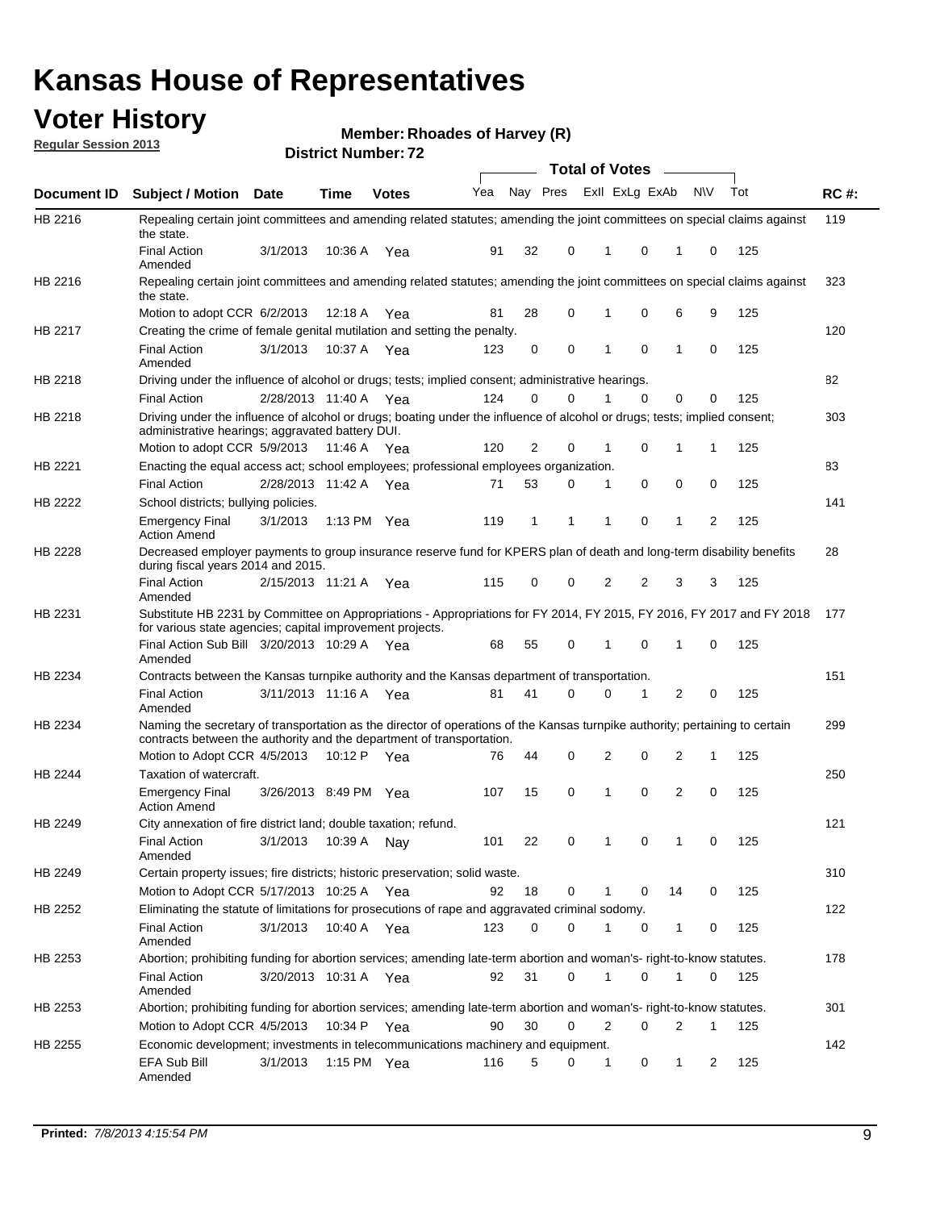## **Voter History**

**Member: Rhoades of Harvey (R)** 

**Regular Session 2013**

|                |                                                                                                                                                                                                               |                         |               |              |     |          |          | <b>Total of Votes</b> |          | $\sim$ 100 $\mu$ |           |     |             |
|----------------|---------------------------------------------------------------------------------------------------------------------------------------------------------------------------------------------------------------|-------------------------|---------------|--------------|-----|----------|----------|-----------------------|----------|------------------|-----------|-----|-------------|
| Document ID    | Subject / Motion Date                                                                                                                                                                                         |                         | <b>Time</b>   | <b>Votes</b> | Yea | Nay Pres |          | Exll ExLg ExAb        |          |                  | <b>NV</b> | Tot | <b>RC#:</b> |
| HB 2216        | Repealing certain joint committees and amending related statutes; amending the joint committees on special claims against<br>the state.                                                                       |                         |               |              |     |          |          |                       |          |                  |           |     | 119         |
|                | <b>Final Action</b><br>Amended                                                                                                                                                                                | 3/1/2013                | 10:36 A       | Yea          | 91  | 32       | 0        | 1                     | 0        | 1                | 0         | 125 |             |
| HB 2216        | Repealing certain joint committees and amending related statutes; amending the joint committees on special claims against<br>the state.                                                                       |                         |               |              |     |          |          |                       |          |                  |           |     | 323         |
|                | Motion to adopt CCR 6/2/2013                                                                                                                                                                                  |                         | 12:18 A       | Yea          | 81  | 28       | 0        | 1                     | 0        | 6                | 9         | 125 |             |
| HB 2217        | Creating the crime of female genital mutilation and setting the penalty.                                                                                                                                      |                         |               |              |     |          |          |                       |          |                  |           |     | 120         |
|                | <b>Final Action</b><br>Amended                                                                                                                                                                                | 3/1/2013                | 10:37 A Yea   |              | 123 | 0        | 0        | 1                     | 0        | 1                | 0         | 125 |             |
| HB 2218        | Driving under the influence of alcohol or drugs; tests; implied consent; administrative hearings.                                                                                                             |                         |               |              |     |          |          |                       |          |                  |           |     | 82          |
|                | <b>Final Action</b>                                                                                                                                                                                           | 2/28/2013 11:40 A Yea   |               |              | 124 | 0        | $\Omega$ |                       | $\Omega$ | 0                | 0         | 125 |             |
| HB 2218        | Driving under the influence of alcohol or drugs; boating under the influence of alcohol or drugs; tests; implied consent;<br>administrative hearings; aggravated battery DUI.<br>Motion to adopt CCR 5/9/2013 |                         | 11:46 A Yea   |              | 120 | 2        | 0        | 1                     | 0        | 1                | 1         | 125 | 303         |
|                |                                                                                                                                                                                                               |                         |               |              |     |          |          |                       |          |                  |           |     |             |
| HB 2221        | Enacting the equal access act; school employees; professional employees organization.                                                                                                                         |                         |               |              |     |          |          |                       |          |                  |           |     | 83          |
|                | <b>Final Action</b>                                                                                                                                                                                           | 2/28/2013 11:42 A Yea   |               |              | 71  | 53       | 0        | 1                     | 0        | 0                | 0         | 125 |             |
| HB 2222        | School districts; bullying policies.<br>Emergency Final<br><b>Action Amend</b>                                                                                                                                | 3/1/2013                | 1:13 PM $Yea$ |              | 119 | 1        | 1        | 1                     | 0        | 1                | 2         | 125 | 141         |
| HB 2228        | Decreased employer payments to group insurance reserve fund for KPERS plan of death and long-term disability benefits<br>during fiscal years 2014 and 2015.                                                   |                         |               |              |     |          |          |                       |          |                  |           |     | 28          |
|                | <b>Final Action</b><br>Amended                                                                                                                                                                                | 2/15/2013 11:21 A Yea   |               |              | 115 | 0        | 0        | 2                     | 2        | 3                | 3         | 125 |             |
| HB 2231        | Substitute HB 2231 by Committee on Appropriations - Appropriations for FY 2014, FY 2015, FY 2016, FY 2017 and FY 2018 177<br>for various state agencies; capital improvement projects.                        |                         |               |              |     |          |          |                       |          |                  |           |     |             |
|                | Final Action Sub Bill 3/20/2013 10:29 A Yea<br>Amended                                                                                                                                                        |                         |               |              | 68  | 55       | 0        | 1                     | 0        | 1                | 0         | 125 |             |
| HB 2234        | Contracts between the Kansas turnpike authority and the Kansas department of transportation.                                                                                                                  |                         |               |              |     |          |          |                       |          |                  |           |     | 151         |
|                | <b>Final Action</b><br>Amended                                                                                                                                                                                | 3/11/2013 11:16 A       |               | Yea          | 81  | 41       | 0        | 0                     | 1        | 2                | 0         | 125 |             |
| HB 2234        | Naming the secretary of transportation as the director of operations of the Kansas turnpike authority; pertaining to certain<br>contracts between the authority and the department of transportation.         |                         |               |              |     |          |          |                       |          |                  |           |     | 299         |
|                | Motion to Adopt CCR 4/5/2013                                                                                                                                                                                  |                         | 10:12 P Yea   |              | 76  | 44       | 0        | 2                     | 0        | 2                | 1         | 125 |             |
| <b>HB 2244</b> | Taxation of watercraft.<br><b>Emergency Final</b>                                                                                                                                                             | 3/26/2013 8:49 PM Yea   |               |              | 107 | 15       | 0        | 1                     | 0        | 2                | 0         | 125 | 250         |
|                | <b>Action Amend</b>                                                                                                                                                                                           |                         |               |              |     |          |          |                       |          |                  |           |     |             |
| HB 2249        | City annexation of fire district land; double taxation; refund.<br>Final Action<br>Amended                                                                                                                    | 3/1/2013  10:39 A   Nay |               |              | 101 | 22       | 0        | $\mathbf{1}$          | $\Omega$ | $\mathbf{1}$     | 0         | 125 | 121         |
| HB 2249        | Certain property issues; fire districts; historic preservation; solid waste.                                                                                                                                  |                         |               |              |     |          |          |                       |          |                  |           |     | 310         |
|                | Motion to Adopt CCR 5/17/2013 10:25 A Yea                                                                                                                                                                     |                         |               |              | 92  | 18       | 0        |                       | 0        | 14               | 0         | 125 |             |
| HB 2252        | Eliminating the statute of limitations for prosecutions of rape and aggravated criminal sodomy.                                                                                                               |                         |               |              |     |          |          |                       |          |                  |           |     | 122         |
|                | <b>Final Action</b><br>Amended                                                                                                                                                                                | 3/1/2013                | 10:40 A Yea   |              | 123 | 0        | 0        |                       | 0        | 1                | 0         | 125 |             |
| HB 2253        | Abortion; prohibiting funding for abortion services; amending late-term abortion and woman's- right-to-know statutes.                                                                                         |                         |               |              |     |          |          |                       |          |                  |           |     | 178         |
|                | <b>Final Action</b><br>Amended                                                                                                                                                                                | 3/20/2013 10:31 A Yea   |               |              | 92  | 31       | 0        | 1                     | 0        | 1                | 0         | 125 |             |
| HB 2253        | Abortion; prohibiting funding for abortion services; amending late-term abortion and woman's- right-to-know statutes.                                                                                         |                         |               |              |     |          |          |                       |          |                  |           |     | 301         |
|                | Motion to Adopt CCR 4/5/2013                                                                                                                                                                                  |                         | 10:34 P Yea   |              | 90  | 30       | 0        | 2                     | 0        | 2                | 1         | 125 |             |
| HB 2255        | Economic development; investments in telecommunications machinery and equipment.                                                                                                                              |                         |               |              |     |          |          |                       |          |                  |           |     | 142         |
|                | EFA Sub Bill<br>Amended                                                                                                                                                                                       | 3/1/2013                |               | 1:15 PM Yea  | 116 | 5        | 0        | -1                    | 0        | 1                | 2         | 125 |             |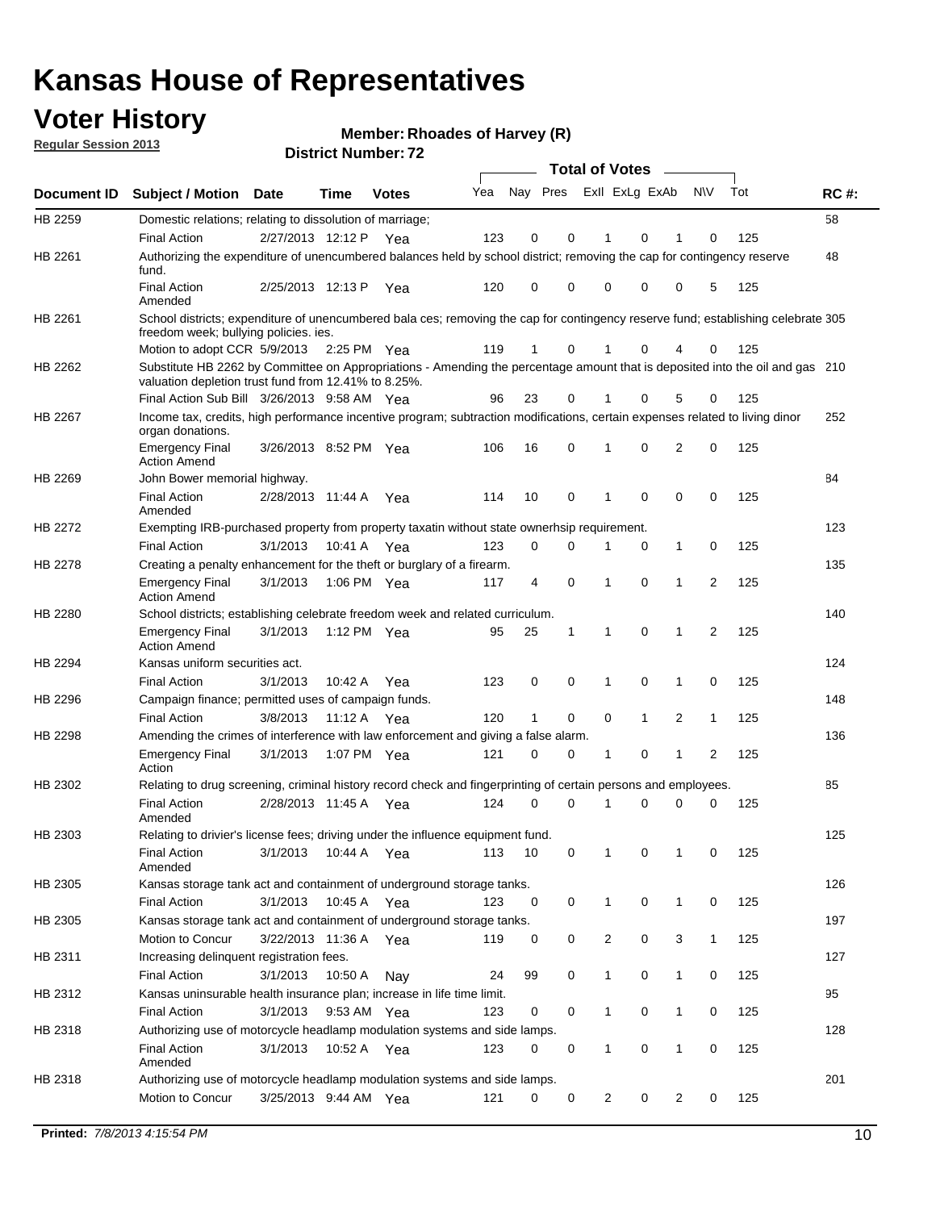## **Voter History**

**Member: Rhoades of Harvey (R)** 

**Regular Session 2013**

|             |                                                                                                                                                                                       |                       |             | ו הסעוווענו וענווע <del>ט</del> |     |                         |              | <b>Total of Votes</b> |              | $\sim$         |                |     |             |
|-------------|---------------------------------------------------------------------------------------------------------------------------------------------------------------------------------------|-----------------------|-------------|---------------------------------|-----|-------------------------|--------------|-----------------------|--------------|----------------|----------------|-----|-------------|
| Document ID | <b>Subject / Motion Date</b>                                                                                                                                                          |                       | <b>Time</b> | <b>Votes</b>                    | Yea | Nay Pres Exll ExLg ExAb |              |                       |              |                | <b>NV</b>      | Tot | <b>RC#:</b> |
| HB 2259     | Domestic relations; relating to dissolution of marriage;                                                                                                                              |                       |             |                                 |     |                         |              |                       |              |                |                |     | 58          |
|             | <b>Final Action</b>                                                                                                                                                                   | 2/27/2013 12:12 P     |             | Yea                             | 123 | 0                       | 0            | 1                     | 0            | 1              | 0              | 125 |             |
| HB 2261     | Authorizing the expenditure of unencumbered balances held by school district; removing the cap for contingency reserve<br>fund.                                                       |                       |             |                                 |     |                         |              |                       |              |                |                |     | 48          |
|             | <b>Final Action</b><br>Amended                                                                                                                                                        | 2/25/2013 12:13 P     |             | Yea                             | 120 | 0                       | $\Omega$     | 0                     | 0            | 0              | 5              | 125 |             |
| HB 2261     | School districts; expenditure of unencumbered bala ces; removing the cap for contingency reserve fund; establishing celebrate 305<br>freedom week; bullying policies. ies.            |                       |             |                                 |     |                         |              |                       |              |                |                |     |             |
|             | Motion to adopt CCR 5/9/2013                                                                                                                                                          |                       | 2:25 PM Yea |                                 | 119 | 1                       | 0            | 1                     | 0            | 4              | 0              | 125 |             |
| HB 2262     | Substitute HB 2262 by Committee on Appropriations - Amending the percentage amount that is deposited into the oil and gas 210<br>valuation depletion trust fund from 12.41% to 8.25%. |                       |             |                                 |     |                         |              |                       |              |                |                |     |             |
|             | Final Action Sub Bill 3/26/2013 9:58 AM Yea                                                                                                                                           |                       |             |                                 | 96  | 23                      | 0            |                       | 0            | 5              | 0              | 125 |             |
| HB 2267     | Income tax, credits, high performance incentive program; subtraction modifications, certain expenses related to living dinor<br>organ donations.                                      |                       |             |                                 |     |                         |              |                       |              |                |                |     | 252         |
|             | <b>Emergency Final</b><br><b>Action Amend</b>                                                                                                                                         | 3/26/2013 8:52 PM Yea |             |                                 | 106 | 16                      | 0            | 1                     | 0            | $\overline{2}$ | 0              | 125 |             |
| HB 2269     | John Bower memorial highway.                                                                                                                                                          |                       |             |                                 |     |                         |              |                       |              |                |                |     | 84          |
|             | <b>Final Action</b><br>Amended                                                                                                                                                        | 2/28/2013 11:44 A Yea |             |                                 | 114 | 10                      | 0            | 1                     | 0            | 0              | 0              | 125 |             |
| HB 2272     | Exempting IRB-purchased property from property taxatin without state ownerhsip requirement.                                                                                           |                       |             |                                 |     |                         |              |                       |              |                |                |     | 123         |
|             | <b>Final Action</b>                                                                                                                                                                   | 3/1/2013              | 10:41 A     | Yea                             | 123 | 0                       | 0            | 1                     | 0            | $\mathbf{1}$   | 0              | 125 |             |
| HB 2278     | Creating a penalty enhancement for the theft or burglary of a firearm.                                                                                                                |                       |             |                                 |     |                         |              |                       |              |                |                |     | 135         |
|             | <b>Emergency Final</b><br><b>Action Amend</b>                                                                                                                                         | 3/1/2013              | 1:06 PM Yea |                                 | 117 | 4                       | 0            | 1                     | $\Omega$     | 1              | $\overline{2}$ | 125 |             |
| HB 2280     | School districts; establishing celebrate freedom week and related curriculum.                                                                                                         |                       |             |                                 |     |                         |              |                       |              |                |                |     | 140         |
|             | <b>Emergency Final</b><br><b>Action Amend</b>                                                                                                                                         | 3/1/2013              | 1:12 PM Yea |                                 | 95  | 25                      | $\mathbf{1}$ | 1                     | 0            | 1              | 2              | 125 |             |
| HB 2294     | Kansas uniform securities act.                                                                                                                                                        |                       |             |                                 |     |                         |              |                       |              |                |                |     | 124         |
|             | <b>Final Action</b>                                                                                                                                                                   | 3/1/2013              | 10:42 A     | Yea                             | 123 | 0                       | 0            | 1                     | 0            | 1              | 0              | 125 |             |
| HB 2296     | Campaign finance; permitted uses of campaign funds.                                                                                                                                   |                       |             |                                 |     |                         |              |                       |              |                |                |     | 148         |
|             | <b>Final Action</b>                                                                                                                                                                   | 3/8/2013              | 11:12 A Yea |                                 | 120 | 1                       | 0            | 0                     | $\mathbf{1}$ | 2              | $\mathbf{1}$   | 125 |             |
| HB 2298     | Amending the crimes of interference with law enforcement and giving a false alarm.                                                                                                    |                       |             |                                 |     |                         |              |                       |              |                |                |     | 136         |
|             | <b>Emergency Final</b><br>Action                                                                                                                                                      | 3/1/2013              | 1:07 PM Yea |                                 | 121 | 0                       | 0            | 1                     | 0            | 1              | $\overline{2}$ | 125 |             |
| HB 2302     | Relating to drug screening, criminal history record check and fingerprinting of certain persons and employees.                                                                        |                       |             |                                 |     |                         |              |                       |              |                |                |     | 85          |
|             | <b>Final Action</b><br>Amended                                                                                                                                                        | 2/28/2013 11:45 A     |             | Yea                             | 124 | 0                       | 0            | 1                     | 0            | 0              | 0              | 125 |             |
| HB 2303     | Relating to drivier's license fees; driving under the influence equipment fund.                                                                                                       |                       |             |                                 |     |                         |              |                       |              |                |                |     | 125         |
|             | <b>Final Action</b><br>Amended                                                                                                                                                        | 3/1/2013              | 10:44 A Yea |                                 | 113 | 10                      | 0            | 1                     | 0            | 1              | 0              | 125 |             |
| HB 2305     | Kansas storage tank act and containment of underground storage tanks.                                                                                                                 |                       |             |                                 |     |                         |              |                       |              |                |                |     | 126         |
|             | <b>Final Action</b>                                                                                                                                                                   | 3/1/2013              | 10:45 A     | Yea                             | 123 | 0                       | 0            | 1                     | 0            | $\mathbf{1}$   | 0              | 125 |             |
| HB 2305     | Kansas storage tank act and containment of underground storage tanks.                                                                                                                 |                       |             |                                 |     |                         |              |                       |              |                |                |     | 197         |
|             | Motion to Concur                                                                                                                                                                      | 3/22/2013 11:36 A     |             | Yea                             | 119 | 0                       | 0            | 2                     | 0            | 3              | $\mathbf{1}$   | 125 |             |
| HB 2311     | Increasing delinquent registration fees.                                                                                                                                              |                       |             |                                 |     |                         |              |                       |              |                |                |     | 127         |
|             | <b>Final Action</b>                                                                                                                                                                   | 3/1/2013              | 10:50 A     | Nay                             | 24  | 99                      | 0            | 1                     | 0            | 1              | 0              | 125 |             |
| HB 2312     | Kansas uninsurable health insurance plan; increase in life time limit.                                                                                                                |                       |             |                                 |     |                         |              |                       |              |                |                |     | 95          |
|             | <b>Final Action</b>                                                                                                                                                                   | 3/1/2013              | 9:53 AM Yea |                                 | 123 | 0                       | 0            | 1                     | 0            | 1              | 0              | 125 |             |
| HB 2318     | Authorizing use of motorcycle headlamp modulation systems and side lamps.                                                                                                             |                       |             |                                 |     |                         |              |                       |              |                |                |     | 128         |
|             | <b>Final Action</b><br>Amended                                                                                                                                                        | 3/1/2013              | 10:52 A Yea |                                 | 123 | 0                       | 0            | 1                     | 0            | 1              | 0              | 125 |             |
| HB 2318     | Authorizing use of motorcycle headlamp modulation systems and side lamps.                                                                                                             |                       |             |                                 |     |                         |              |                       |              |                |                |     | 201         |
|             | Motion to Concur                                                                                                                                                                      | 3/25/2013 9:44 AM Yea |             |                                 | 121 | 0                       | 0            | $\overline{c}$        | 0            | 2              | 0              | 125 |             |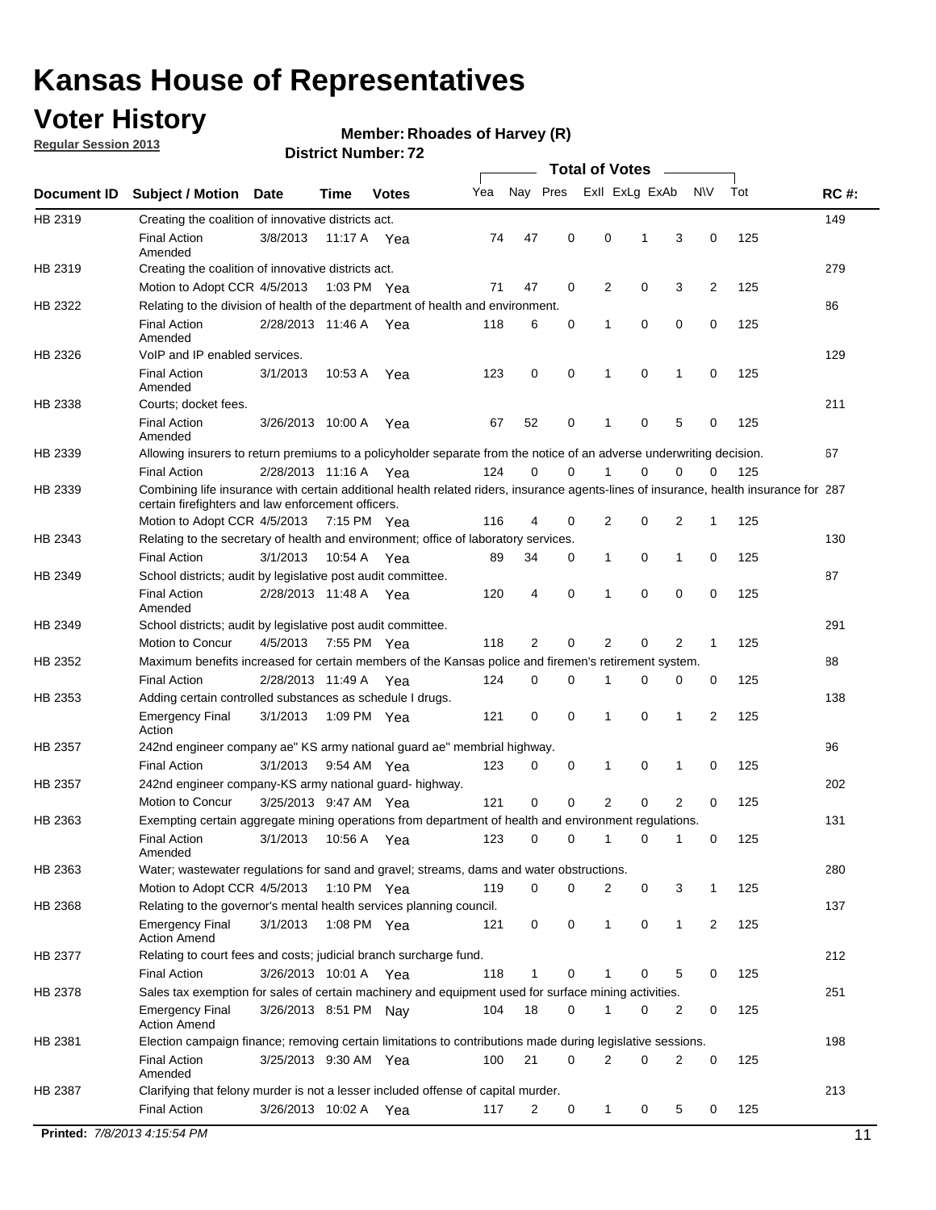## **Voter History**

**Regular Session 2013**

#### **Member: Rhoades of Harvey (R)**

|             |                                                                                                                                                                                             |                       |             |              |     |             |             | <b>Total of Votes</b> |   |                |           |     |             |
|-------------|---------------------------------------------------------------------------------------------------------------------------------------------------------------------------------------------|-----------------------|-------------|--------------|-----|-------------|-------------|-----------------------|---|----------------|-----------|-----|-------------|
| Document ID | <b>Subject / Motion</b>                                                                                                                                                                     | Date                  | Time        | <b>Votes</b> | Yea | Nay Pres    |             | Exll ExLg ExAb        |   |                | <b>NV</b> | Tot | <b>RC#:</b> |
| HB 2319     | Creating the coalition of innovative districts act.                                                                                                                                         |                       |             |              |     |             |             |                       |   |                |           |     | 149         |
|             | <b>Final Action</b><br>Amended                                                                                                                                                              | 3/8/2013              | 11:17 A     | Yea          | 74  | 47          | 0           | 0                     | 1 | 3              | 0         | 125 |             |
| HB 2319     | Creating the coalition of innovative districts act.                                                                                                                                         |                       |             |              |     |             |             |                       |   |                |           |     | 279         |
|             | Motion to Adopt CCR 4/5/2013                                                                                                                                                                |                       | 1:03 PM Yea |              | 71  | 47          | 0           | 2                     | 0 | 3              | 2         | 125 |             |
| HB 2322     | Relating to the division of health of the department of health and environment.                                                                                                             |                       |             |              |     |             |             |                       |   |                |           |     | 86          |
|             | <b>Final Action</b><br>Amended                                                                                                                                                              | 2/28/2013 11:46 A Yea |             |              | 118 | 6           | 0           | 1                     | 0 | 0              | 0         | 125 |             |
| HB 2326     | VoIP and IP enabled services.                                                                                                                                                               |                       |             |              |     |             |             |                       |   |                |           |     | 129         |
|             | <b>Final Action</b><br>Amended                                                                                                                                                              | 3/1/2013              | 10:53 A     | Yea          | 123 | $\mathbf 0$ | 0           | $\mathbf{1}$          | 0 | 1              | 0         | 125 |             |
| HB 2338     | Courts; docket fees.                                                                                                                                                                        |                       |             |              |     |             |             |                       |   |                |           |     | 211         |
|             | <b>Final Action</b><br>Amended                                                                                                                                                              | 3/26/2013 10:00 A     |             | Yea          | 67  | 52          | 0           | 1                     | 0 | 5              | 0         | 125 |             |
| HB 2339     | Allowing insurers to return premiums to a policyholder separate from the notice of an adverse underwriting decision.                                                                        |                       |             |              |     |             |             |                       |   |                |           |     | 67          |
|             | <b>Final Action</b>                                                                                                                                                                         | 2/28/2013 11:16 A Yea |             |              | 124 | 0           | 0           |                       | 0 | 0              | 0         | 125 |             |
| HB 2339     | Combining life insurance with certain additional health related riders, insurance agents-lines of insurance, health insurance for 287<br>certain firefighters and law enforcement officers. |                       |             |              |     |             |             |                       |   |                |           |     |             |
|             | Motion to Adopt CCR 4/5/2013 7:15 PM Yea                                                                                                                                                    |                       |             |              | 116 | 4           | 0           | 2                     | 0 | 2              | -1        | 125 |             |
| HB 2343     | Relating to the secretary of health and environment; office of laboratory services.                                                                                                         |                       |             |              |     |             |             |                       |   |                |           |     | 130         |
|             | <b>Final Action</b>                                                                                                                                                                         | 3/1/2013              | 10:54 A Yea |              | 89  | 34          | 0           | 1                     | 0 | 1              | 0         | 125 |             |
| HB 2349     | School districts; audit by legislative post audit committee.                                                                                                                                |                       |             |              |     |             |             |                       |   |                |           |     | 87          |
|             | <b>Final Action</b><br>Amended                                                                                                                                                              | 2/28/2013 11:48 A Yea |             |              | 120 | 4           | $\mathbf 0$ | 1                     | 0 | 0              | 0         | 125 |             |
| HB 2349     | School districts; audit by legislative post audit committee.                                                                                                                                |                       |             |              |     |             |             |                       |   |                |           |     | 291         |
|             | Motion to Concur                                                                                                                                                                            | 4/5/2013              | 7:55 PM Yea |              | 118 | 2           | $\mathbf 0$ | 2                     | 0 | 2              | 1         | 125 |             |
| HB 2352     | Maximum benefits increased for certain members of the Kansas police and firemen's retirement system.                                                                                        |                       |             |              |     |             |             |                       |   |                |           |     | 88          |
|             | <b>Final Action</b>                                                                                                                                                                         | 2/28/2013 11:49 A     |             | Yea          | 124 | 0           | 0           | 1                     | 0 | 0              | 0         | 125 |             |
| HB 2353     | Adding certain controlled substances as schedule I drugs.                                                                                                                                   |                       |             |              |     |             |             |                       |   |                |           |     | 138         |
|             | <b>Emergency Final</b><br>Action                                                                                                                                                            | 3/1/2013              |             | 1:09 PM Yea  | 121 | 0           | 0           | 1                     | 0 | 1              | 2         | 125 |             |
| HB 2357     | 242nd engineer company ae" KS army national guard ae" membrial highway.                                                                                                                     |                       |             |              |     |             |             |                       |   |                |           |     | 96          |
|             | <b>Final Action</b>                                                                                                                                                                         | 3/1/2013              | 9:54 AM Yea |              | 123 | 0           | 0           | 1                     | 0 | 1              | 0         | 125 |             |
| HB 2357     | 242nd engineer company-KS army national guard- highway.                                                                                                                                     |                       |             |              |     |             |             |                       |   |                |           |     | 202         |
|             | Motion to Concur                                                                                                                                                                            | 3/25/2013 9:47 AM Yea |             |              | 121 | $\mathbf 0$ | $\mathbf 0$ | $\overline{2}$        | 0 | $\overline{2}$ | 0         | 125 |             |
| HB 2363     | Exempting certain aggregate mining operations from department of health and environment regulations.                                                                                        |                       |             |              |     |             |             |                       |   |                |           |     | 131         |
|             | <b>Final Action</b><br>Amended                                                                                                                                                              | 3/1/2013              | 10:56 A     | Yea          | 123 | 0           | 0           | 1                     | 0 | 1              | 0         | 125 |             |
| HB 2363     | Water; wastewater regulations for sand and gravel; streams, dams and water obstructions.                                                                                                    |                       |             |              |     |             |             |                       |   |                |           |     | 280         |
|             | Motion to Adopt CCR 4/5/2013                                                                                                                                                                |                       |             | 1:10 PM Yea  | 119 | 0           | 0           | 2                     | 0 | 3              |           | 125 |             |
| HB 2368     | Relating to the governor's mental health services planning council.                                                                                                                         |                       |             |              |     |             |             |                       |   |                |           |     | 137         |
|             | Emergency Final<br><b>Action Amend</b>                                                                                                                                                      | 3/1/2013              | 1:08 PM Yea |              | 121 | 0           | 0           | $\mathbf{1}$          | 0 | 1              | 2         | 125 |             |
| HB 2377     | Relating to court fees and costs; judicial branch surcharge fund.                                                                                                                           |                       |             |              |     |             |             |                       |   |                |           |     | 212         |
|             | <b>Final Action</b>                                                                                                                                                                         | 3/26/2013 10:01 A Yea |             |              | 118 | 1           | 0           |                       | 0 | 5              | 0         | 125 |             |
| HB 2378     | Sales tax exemption for sales of certain machinery and equipment used for surface mining activities.                                                                                        |                       |             |              |     |             |             |                       |   |                |           |     | 251         |
|             | <b>Emergency Final</b><br><b>Action Amend</b>                                                                                                                                               | 3/26/2013 8:51 PM Nay |             |              | 104 | 18          | 0           | 1                     | 0 | 2              | 0         | 125 |             |
| HB 2381     | Election campaign finance; removing certain limitations to contributions made during legislative sessions.                                                                                  |                       |             |              |     |             |             |                       |   |                |           |     | 198         |
|             | Final Action<br>Amended                                                                                                                                                                     | 3/25/2013 9:30 AM Yea |             |              | 100 | 21          | 0           | 2                     | 0 | 2              | 0         | 125 |             |
| HB 2387     | Clarifying that felony murder is not a lesser included offense of capital murder.                                                                                                           |                       |             |              |     |             |             |                       |   |                |           |     | 213         |
|             | <b>Final Action</b>                                                                                                                                                                         | 3/26/2013 10:02 A     |             | Yea          | 117 | 2           | 0           | $\mathbf{1}$          | 0 | 5              | 0         | 125 |             |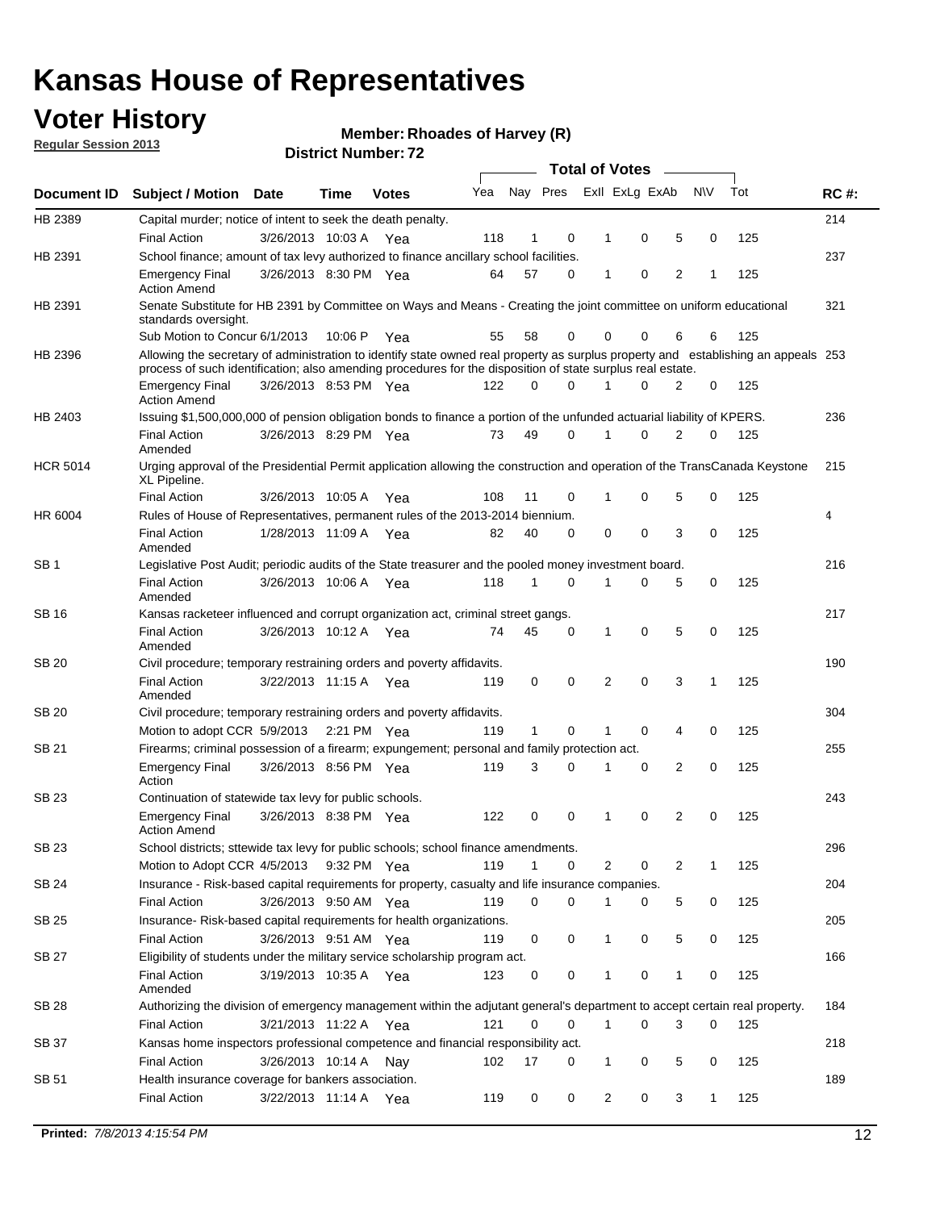## **Voter History**

**Member: Rhoades of Harvey (R)** 

**Regular Session 2013**

|                 |                                                                                                                                                                                                                                                  |                       |             |              |     |              |          | <b>Total of Votes</b> |   |   |              |     |             |
|-----------------|--------------------------------------------------------------------------------------------------------------------------------------------------------------------------------------------------------------------------------------------------|-----------------------|-------------|--------------|-----|--------------|----------|-----------------------|---|---|--------------|-----|-------------|
| Document ID     | Subject / Motion Date                                                                                                                                                                                                                            |                       | Time        | <b>Votes</b> | Yea | Nay Pres     |          | Exll ExLg ExAb        |   |   | <b>NV</b>    | Tot | <b>RC#:</b> |
| HB 2389         | Capital murder; notice of intent to seek the death penalty.                                                                                                                                                                                      |                       |             |              |     |              |          |                       |   |   |              |     | 214         |
|                 | <b>Final Action</b>                                                                                                                                                                                                                              | 3/26/2013 10:03 A     |             | Yea          | 118 | 1            | 0        | 1                     | 0 | 5 | 0            | 125 |             |
| HB 2391         | School finance; amount of tax levy authorized to finance ancillary school facilities.                                                                                                                                                            |                       |             |              |     |              |          |                       |   |   |              |     | 237         |
|                 | <b>Emergency Final</b><br><b>Action Amend</b>                                                                                                                                                                                                    | 3/26/2013 8:30 PM Yea |             |              | 64  | 57           | 0        | 1                     | 0 | 2 | 1            | 125 |             |
| HB 2391         | Senate Substitute for HB 2391 by Committee on Ways and Means - Creating the joint committee on uniform educational<br>standards oversight.                                                                                                       |                       |             |              |     |              |          |                       |   |   |              |     | 321         |
|                 | Sub Motion to Concur 6/1/2013                                                                                                                                                                                                                    |                       | 10:06 P     | Yea          | 55  | 58           | 0        | 0                     | 0 | 6 | 6            | 125 |             |
| HB 2396         | Allowing the secretary of administration to identify state owned real property as surplus property and establishing an appeals 253<br>process of such identification; also amending procedures for the disposition of state surplus real estate. |                       |             |              |     |              |          |                       |   |   |              |     |             |
|                 | <b>Emergency Final</b><br>Action Amend                                                                                                                                                                                                           | 3/26/2013 8:53 PM Yea |             |              | 122 | 0            | 0        |                       | 0 | 2 | 0            | 125 |             |
| HB 2403         | Issuing \$1,500,000,000 of pension obligation bonds to finance a portion of the unfunded actuarial liability of KPERS.                                                                                                                           |                       |             |              |     |              |          |                       |   |   |              |     | 236         |
|                 | <b>Final Action</b><br>Amended                                                                                                                                                                                                                   | 3/26/2013 8:29 PM Yea |             |              | 73  | 49           | 0        | 1                     | 0 | 2 | 0            | 125 |             |
| <b>HCR 5014</b> | Urging approval of the Presidential Permit application allowing the construction and operation of the TransCanada Keystone<br>XL Pipeline.                                                                                                       |                       |             |              |     |              |          |                       |   |   |              |     | 215         |
|                 | <b>Final Action</b>                                                                                                                                                                                                                              | 3/26/2013 10:05 A     |             | Yea          | 108 | 11           | 0        |                       | 0 | 5 | 0            | 125 |             |
| HR 6004         | Rules of House of Representatives, permanent rules of the 2013-2014 biennium.                                                                                                                                                                    |                       |             |              |     |              |          |                       |   |   |              |     | 4           |
|                 | <b>Final Action</b><br>Amended                                                                                                                                                                                                                   | 1/28/2013 11:09 A     |             | Yea          | 82  | 40           | 0        | 0                     | 0 | 3 | 0            | 125 |             |
| SB 1            | Legislative Post Audit; periodic audits of the State treasurer and the pooled money investment board.                                                                                                                                            |                       |             |              |     |              |          |                       |   |   |              |     | 216         |
|                 | <b>Final Action</b><br>Amended                                                                                                                                                                                                                   | 3/26/2013 10:06 A     |             | Yea          | 118 | 1            | 0        | 1                     | 0 | 5 | 0            | 125 |             |
| SB 16           | Kansas racketeer influenced and corrupt organization act, criminal street gangs.                                                                                                                                                                 |                       |             |              |     |              |          |                       |   |   |              |     | 217         |
|                 | <b>Final Action</b><br>Amended                                                                                                                                                                                                                   | 3/26/2013 10:12 A Yea |             |              | 74  | 45           | 0        | 1                     | 0 | 5 | 0            | 125 |             |
| SB 20           | Civil procedure; temporary restraining orders and poverty affidavits.                                                                                                                                                                            |                       |             |              |     |              |          |                       |   |   |              |     | 190         |
|                 | <b>Final Action</b><br>Amended                                                                                                                                                                                                                   | 3/22/2013 11:15 A     |             | Yea          | 119 | 0            | 0        | 2                     | 0 | 3 | 1            | 125 |             |
| SB 20           | Civil procedure; temporary restraining orders and poverty affidavits.                                                                                                                                                                            |                       |             |              |     |              |          |                       |   |   |              |     | 304         |
|                 | Motion to adopt CCR 5/9/2013                                                                                                                                                                                                                     |                       | 2:21 PM Yea |              | 119 | $\mathbf{1}$ | 0        | 1                     | 0 | 4 | 0            | 125 |             |
| SB 21           | Firearms; criminal possession of a firearm; expungement; personal and family protection act.                                                                                                                                                     |                       |             |              |     |              |          |                       |   |   |              |     | 255         |
|                 | <b>Emergency Final</b><br>Action                                                                                                                                                                                                                 | 3/26/2013 8:56 PM Yea |             |              | 119 | 3            | 0        |                       | 0 | 2 | 0            | 125 |             |
| SB 23           | Continuation of statewide tax levy for public schools.                                                                                                                                                                                           |                       |             |              |     |              |          |                       |   |   |              |     | 243         |
|                 | <b>Emergency Final</b><br><b>Action Amend</b>                                                                                                                                                                                                    | 3/26/2013 8:38 PM Yea |             |              | 122 | 0            | 0        | 1                     | 0 | 2 | 0            | 125 |             |
| <b>SB 23</b>    | School districts; sttewide tax levy for public schools; school finance amendments.                                                                                                                                                               |                       |             |              |     |              |          |                       |   |   |              |     | 296         |
|                 | Motion to Adopt CCR 4/5/2013 9:32 PM Yea                                                                                                                                                                                                         |                       |             |              | 119 | 1            | 0        | 2                     | 0 | 2 | 1            | 125 |             |
| <b>SB 24</b>    | Insurance - Risk-based capital requirements for property, casualty and life insurance companies.                                                                                                                                                 |                       |             |              |     |              |          |                       |   |   |              |     | 204         |
|                 | <b>Final Action</b>                                                                                                                                                                                                                              | 3/26/2013 9:50 AM Yea |             |              | 119 | 0            | 0        |                       | 0 | 5 | 0            | 125 |             |
| SB 25           | Insurance-Risk-based capital requirements for health organizations.                                                                                                                                                                              |                       |             |              |     |              |          |                       |   |   |              |     | 205         |
|                 | <b>Final Action</b>                                                                                                                                                                                                                              | 3/26/2013 9:51 AM Yea |             |              | 119 | 0            | 0        | 1                     | 0 | 5 | 0            | 125 |             |
| SB 27           | Eligibility of students under the military service scholarship program act.                                                                                                                                                                      |                       |             |              |     |              |          |                       |   |   |              |     | 166         |
|                 | <b>Final Action</b><br>Amended                                                                                                                                                                                                                   | 3/19/2013 10:35 A Yea |             |              | 123 | 0            | 0        |                       | 0 | 1 | 0            | 125 |             |
| SB 28           | Authorizing the division of emergency management within the adjutant general's department to accept certain real property.                                                                                                                       |                       |             |              |     |              |          |                       |   |   |              |     | 184         |
|                 | <b>Final Action</b>                                                                                                                                                                                                                              | 3/21/2013 11:22 A Yea |             |              | 121 | 0            | $\Omega$ | 1                     | 0 | 3 | $\Omega$     | 125 |             |
| SB 37           | Kansas home inspectors professional competence and financial responsibility act.                                                                                                                                                                 |                       |             |              |     |              |          |                       |   |   |              |     | 218         |
|                 | <b>Final Action</b>                                                                                                                                                                                                                              | 3/26/2013 10:14 A Nay |             |              | 102 | 17           | 0        | 1                     | 0 | 5 | 0            | 125 |             |
| SB 51           | Health insurance coverage for bankers association.                                                                                                                                                                                               |                       |             |              |     |              |          |                       |   |   |              |     | 189         |
|                 | <b>Final Action</b>                                                                                                                                                                                                                              | 3/22/2013 11:14 A Yea |             |              | 119 | 0            | 0        | 2                     | 0 | 3 | $\mathbf{1}$ | 125 |             |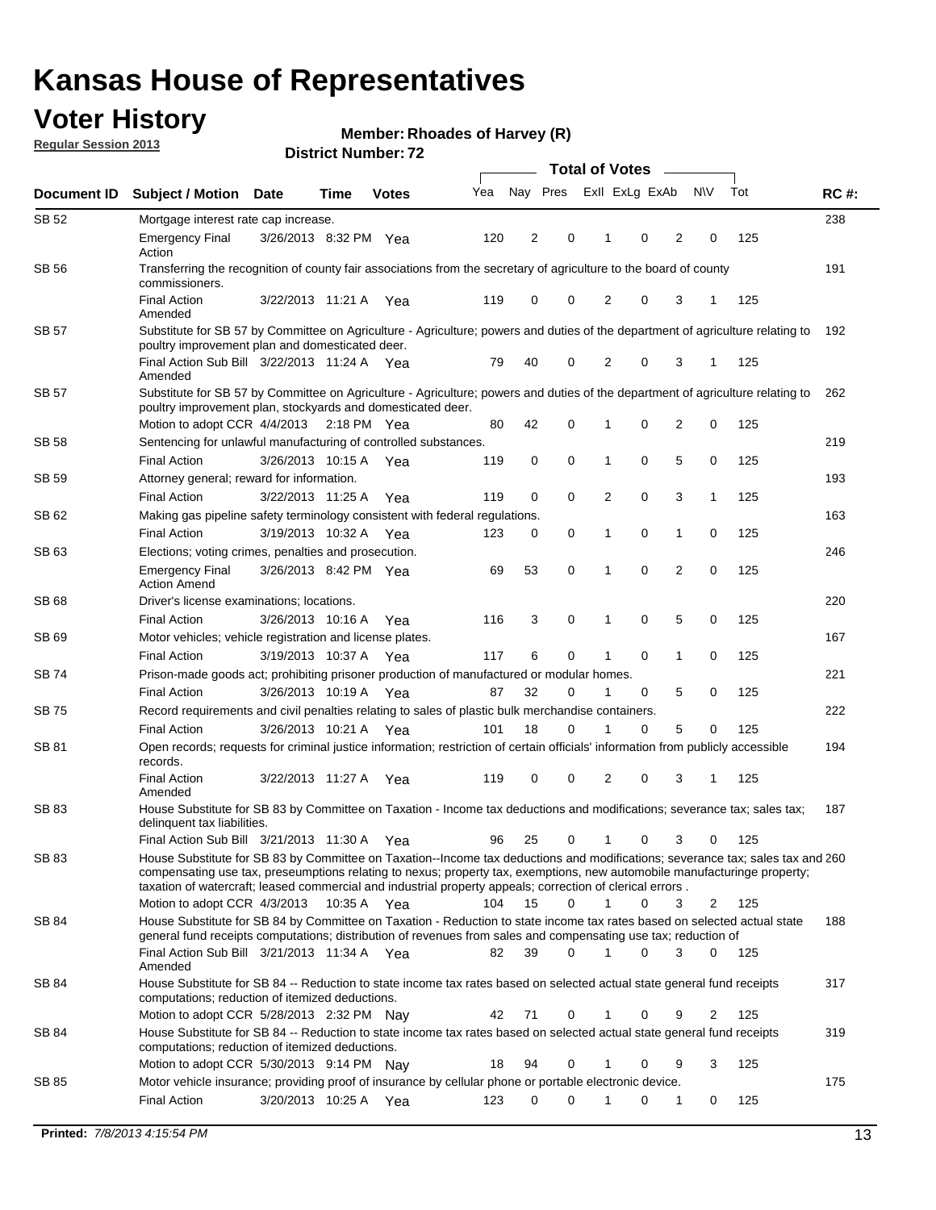## **Voter History**

**Regular Session 2013**

**Member: Rhoades of Harvey (R)** 

| Document ID  | <b>Subject / Motion Date</b>                                                                                                                                                                                                                                                                                                                                                                                          | Time                  | <b>Votes</b> | Yea | Nay Pres |             | Exll ExLg ExAb |   |                | <b>NV</b> | Tot | <b>RC#:</b> |
|--------------|-----------------------------------------------------------------------------------------------------------------------------------------------------------------------------------------------------------------------------------------------------------------------------------------------------------------------------------------------------------------------------------------------------------------------|-----------------------|--------------|-----|----------|-------------|----------------|---|----------------|-----------|-----|-------------|
| SB 52        | Mortgage interest rate cap increase.                                                                                                                                                                                                                                                                                                                                                                                  |                       |              |     |          |             |                |   |                |           |     | 238         |
|              | <b>Emergency Final</b><br>Action                                                                                                                                                                                                                                                                                                                                                                                      | 3/26/2013 8:32 PM Yea |              | 120 | 2        | 0           |                | 0 | 2              | 0         | 125 |             |
| SB 56        | Transferring the recognition of county fair associations from the secretary of agriculture to the board of county<br>commissioners.                                                                                                                                                                                                                                                                                   |                       |              |     |          |             |                |   |                |           |     | 191         |
|              | <b>Final Action</b><br>Amended                                                                                                                                                                                                                                                                                                                                                                                        | 3/22/2013 11:21 A     | Yea          | 119 | 0        | 0           | 2              | 0 | 3              | 1         | 125 |             |
| SB 57        | Substitute for SB 57 by Committee on Agriculture - Agriculture; powers and duties of the department of agriculture relating to<br>poultry improvement plan and domesticated deer.                                                                                                                                                                                                                                     |                       |              |     |          |             |                |   |                |           |     | 192         |
|              | Final Action Sub Bill 3/22/2013 11:24 A Yea<br>Amended                                                                                                                                                                                                                                                                                                                                                                |                       |              | 79  | 40       | 0           | 2              | 0 | 3              | 1         | 125 |             |
| SB 57        | Substitute for SB 57 by Committee on Agriculture - Agriculture; powers and duties of the department of agriculture relating to<br>poultry improvement plan, stockyards and domesticated deer.                                                                                                                                                                                                                         |                       |              |     |          |             |                |   |                |           |     | 262         |
|              | Motion to adopt CCR 4/4/2013 2:18 PM Yea                                                                                                                                                                                                                                                                                                                                                                              |                       |              | 80  | 42       | 0           |                | 0 | $\overline{2}$ | 0         | 125 |             |
| SB 58        | Sentencing for unlawful manufacturing of controlled substances.                                                                                                                                                                                                                                                                                                                                                       |                       |              |     |          |             |                | 0 | 5              | 0         |     | 219         |
|              | <b>Final Action</b><br>Attorney general; reward for information.                                                                                                                                                                                                                                                                                                                                                      | 3/26/2013 10:15 A     | Yea          | 119 | 0        | 0           | 1              |   |                |           | 125 | 193         |
| SB 59        | <b>Final Action</b>                                                                                                                                                                                                                                                                                                                                                                                                   | 3/22/2013 11:25 A     |              | 119 | 0        | 0           | 2              | 0 | 3              | 1         | 125 |             |
| SB 62        |                                                                                                                                                                                                                                                                                                                                                                                                                       |                       | Yea          |     |          |             |                |   |                |           |     | 163         |
|              | Making gas pipeline safety terminology consistent with federal regulations.<br><b>Final Action</b>                                                                                                                                                                                                                                                                                                                    | 3/19/2013 10:32 A     |              |     |          | 0           | 1              | 0 | 1              | 0         | 125 |             |
|              |                                                                                                                                                                                                                                                                                                                                                                                                                       |                       | Yea          | 123 | 0        |             |                |   |                |           |     | 246         |
| SB 63        | Elections; voting crimes, penalties and prosecution.<br><b>Emergency Final</b><br><b>Action Amend</b>                                                                                                                                                                                                                                                                                                                 | 3/26/2013 8:42 PM Yea |              | 69  | 53       | $\mathbf 0$ | 1              | 0 | $\overline{2}$ | 0         | 125 |             |
| <b>SB 68</b> | Driver's license examinations; locations.                                                                                                                                                                                                                                                                                                                                                                             |                       |              |     |          |             |                |   |                |           |     | 220         |
|              | <b>Final Action</b>                                                                                                                                                                                                                                                                                                                                                                                                   | 3/26/2013 10:16 A     | Yea          | 116 | 3        | 0           | 1              | 0 | 5              | 0         | 125 |             |
| SB 69        | Motor vehicles; vehicle registration and license plates.                                                                                                                                                                                                                                                                                                                                                              |                       |              |     |          |             |                |   |                |           |     | 167         |
|              | <b>Final Action</b>                                                                                                                                                                                                                                                                                                                                                                                                   | 3/19/2013 10:37 A     | Yea          | 117 | 6        | 0           | 1              | 0 | 1              | 0         | 125 |             |
| SB 74        | Prison-made goods act; prohibiting prisoner production of manufactured or modular homes.                                                                                                                                                                                                                                                                                                                              |                       |              |     |          |             |                |   |                |           |     | 221         |
|              | <b>Final Action</b>                                                                                                                                                                                                                                                                                                                                                                                                   | 3/26/2013 10:19 A     | Yea          | 87  | 32       | 0           | 1              | 0 | 5              | 0         | 125 |             |
| SB 75        | Record requirements and civil penalties relating to sales of plastic bulk merchandise containers.                                                                                                                                                                                                                                                                                                                     |                       |              |     |          |             |                |   |                |           |     | 222         |
|              | Final Action                                                                                                                                                                                                                                                                                                                                                                                                          | 3/26/2013 10:21 A     | Yea          | 101 | 18       | 0           | 1              | 0 | 5              | 0         | 125 |             |
| SB 81        | Open records; requests for criminal justice information; restriction of certain officials' information from publicly accessible<br>records.                                                                                                                                                                                                                                                                           |                       |              |     |          |             |                |   |                |           |     | 194         |
|              | <b>Final Action</b><br>Amended                                                                                                                                                                                                                                                                                                                                                                                        | 3/22/2013 11:27 A     | Yea          | 119 | 0        | 0           | 2              | 0 | 3              | 1         | 125 |             |
| SB 83        | House Substitute for SB 83 by Committee on Taxation - Income tax deductions and modifications; severance tax; sales tax;<br>delinquent tax liabilities.                                                                                                                                                                                                                                                               |                       |              |     |          |             |                |   |                |           |     | 187         |
|              | Final Action Sub Bill 3/21/2013 11:30 A Yea                                                                                                                                                                                                                                                                                                                                                                           |                       |              | 96  | 25       | 0           | 1              | 0 | 3              | 0         | 125 |             |
| SB 83        | House Substitute for SB 83 by Committee on Taxation--Income tax deductions and modifications; severance tax; sales tax and 260<br>compensating use tax, preseumptions relating to nexus; property tax, exemptions, new automobile manufacturinge property;<br>taxation of watercraft; leased commercial and industrial property appeals; correction of clerical errors.<br>Motion to adopt CCR $4/3/2013$ 10:35 A Yea |                       |              | 104 | 15       | 0           | $\mathbf{1}$   | 0 | 3              | 2         | 125 |             |
| <b>SB 84</b> | House Substitute for SB 84 by Committee on Taxation - Reduction to state income tax rates based on selected actual state                                                                                                                                                                                                                                                                                              |                       |              |     |          |             |                |   |                |           |     | 188         |
|              | general fund receipts computations; distribution of revenues from sales and compensating use tax; reduction of<br>Final Action Sub Bill 3/21/2013 11:34 A Yea                                                                                                                                                                                                                                                         |                       |              | 82  | 39       | $\Omega$    |                | 0 | 3              | $\Omega$  | 125 |             |
|              | Amended                                                                                                                                                                                                                                                                                                                                                                                                               |                       |              |     |          |             |                |   |                |           |     |             |
| SB 84        | House Substitute for SB 84 -- Reduction to state income tax rates based on selected actual state general fund receipts<br>computations; reduction of itemized deductions.                                                                                                                                                                                                                                             |                       |              |     |          |             |                |   |                |           |     | 317         |
|              | Motion to adopt CCR 5/28/2013 2:32 PM Nav                                                                                                                                                                                                                                                                                                                                                                             |                       |              | 42  | 71       | 0           | 1              | 0 | 9              | 2         | 125 |             |
| SB 84        | House Substitute for SB 84 -- Reduction to state income tax rates based on selected actual state general fund receipts<br>computations; reduction of itemized deductions.                                                                                                                                                                                                                                             |                       |              |     |          | 0           |                |   | 9              | 3         |     | 319         |
|              | Motion to adopt CCR 5/30/2013 9:14 PM Nay                                                                                                                                                                                                                                                                                                                                                                             |                       |              | 18  | 94       |             |                | 0 |                |           | 125 | 175         |
| SB 85        | Motor vehicle insurance; providing proof of insurance by cellular phone or portable electronic device.<br>Final Action                                                                                                                                                                                                                                                                                                | 3/20/2013 10:25 A Yea |              | 123 | 0        | $\Omega$    |                | 0 | 1              | 0         | 125 |             |
|              |                                                                                                                                                                                                                                                                                                                                                                                                                       |                       |              |     |          |             |                |   |                |           |     |             |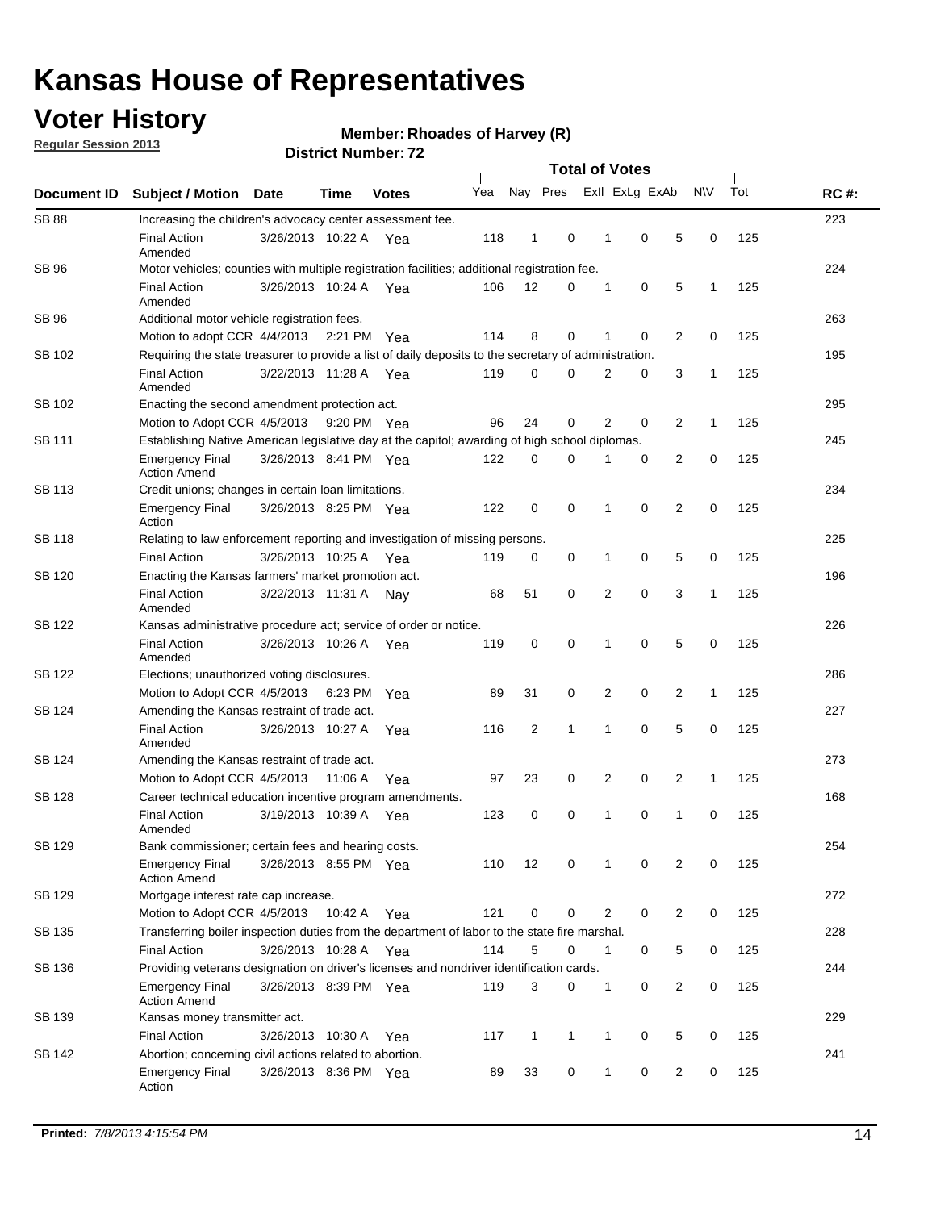## **Voter History**

**Regular Session 2013**

**Member: Rhoades of Harvey (R)** 

|                    |                                                                                                       | 2 <i>ו</i> . וסעווואדו או ואכו ע | <b>Total of Votes</b> |              |     |              |              |  |                |                |                |              |     |             |
|--------------------|-------------------------------------------------------------------------------------------------------|----------------------------------|-----------------------|--------------|-----|--------------|--------------|--|----------------|----------------|----------------|--------------|-----|-------------|
| <b>Document ID</b> | <b>Subject / Motion</b>                                                                               | <b>Date</b>                      | <b>Time</b>           | <b>Votes</b> | Yea |              | Nay Pres     |  |                | Exll ExLg ExAb |                | <b>NV</b>    | Tot | <b>RC#:</b> |
| <b>SB 88</b>       | Increasing the children's advocacy center assessment fee.                                             |                                  |                       |              |     |              |              |  |                |                |                |              |     | 223         |
|                    | <b>Final Action</b><br>Amended                                                                        | 3/26/2013 10:22 A Yea            |                       |              | 118 | $\mathbf{1}$ | 0            |  | $\mathbf 1$    | 0              | 5              | 0            | 125 |             |
| SB 96              | Motor vehicles; counties with multiple registration facilities; additional registration fee.          |                                  |                       |              |     |              |              |  |                |                |                |              |     | 224         |
|                    | <b>Final Action</b><br>Amended                                                                        | 3/26/2013 10:24 A                |                       | Yea          | 106 | 12           | 0            |  | 1              | 0              | 5              | 1            | 125 |             |
| SB 96              | Additional motor vehicle registration fees.                                                           |                                  |                       |              |     |              |              |  |                |                |                |              |     | 263         |
|                    | Motion to adopt CCR 4/4/2013                                                                          |                                  | 2:21 PM Yea           |              | 114 | 8            | 0            |  | 1              | 0              | $\overline{2}$ | 0            | 125 |             |
| SB 102             | Requiring the state treasurer to provide a list of daily deposits to the secretary of administration. |                                  |                       |              |     |              |              |  |                |                |                |              |     | 195         |
|                    | <b>Final Action</b><br>Amended                                                                        | 3/22/2013 11:28 A                |                       | Yea          | 119 | 0            | 0            |  | 2              | 0              | 3              | 1            | 125 |             |
| SB 102             | Enacting the second amendment protection act.                                                         |                                  |                       |              |     |              |              |  |                |                |                |              |     | 295         |
|                    | Motion to Adopt CCR 4/5/2013                                                                          |                                  | 9:20 PM Yea           |              | 96  | 24           | 0            |  | $\overline{2}$ | 0              | $\overline{2}$ | 1            | 125 |             |
| SB 111             | Establishing Native American legislative day at the capitol; awarding of high school diplomas.        |                                  |                       |              |     |              |              |  |                |                |                |              |     | 245         |
|                    | <b>Emergency Final</b><br><b>Action Amend</b>                                                         | 3/26/2013 8:41 PM Yea            |                       |              | 122 | 0            | $\Omega$     |  |                | 0              | $\overline{2}$ | 0            | 125 |             |
| SB 113             | Credit unions; changes in certain loan limitations.                                                   |                                  |                       |              |     |              |              |  |                |                |                |              |     | 234         |
|                    | <b>Emergency Final</b><br>Action                                                                      | 3/26/2013 8:25 PM Yea            |                       |              | 122 | 0            | 0            |  | 1              | $\mathbf 0$    | $\overline{2}$ | $\mathbf 0$  | 125 |             |
| <b>SB 118</b>      | Relating to law enforcement reporting and investigation of missing persons.                           |                                  |                       |              |     |              |              |  |                |                |                |              |     | 225         |
|                    | <b>Final Action</b>                                                                                   | 3/26/2013 10:25 A                |                       | Yea          | 119 | 0            | 0            |  | 1              | 0              | 5              | 0            | 125 |             |
| SB 120             | Enacting the Kansas farmers' market promotion act.                                                    |                                  |                       |              |     |              |              |  |                |                |                |              |     | 196         |
|                    | <b>Final Action</b><br>Amended                                                                        | 3/22/2013 11:31 A                |                       | Nav          | 68  | 51           | 0            |  | 2              | $\mathbf 0$    | 3              | 1            | 125 |             |
| SB 122             | Kansas administrative procedure act; service of order or notice.                                      |                                  |                       |              |     |              |              |  |                |                |                |              |     | 226         |
|                    | <b>Final Action</b><br>Amended                                                                        | 3/26/2013 10:26 A                |                       | Yea          | 119 | 0            | 0            |  | 1              | 0              | 5              | 0            | 125 |             |
| SB 122             | Elections; unauthorized voting disclosures.                                                           |                                  |                       |              |     |              |              |  |                |                |                |              |     | 286         |
|                    | Motion to Adopt CCR 4/5/2013                                                                          |                                  | 6:23 PM               | Yea          | 89  | 31           | 0            |  | 2              | 0              | $\overline{2}$ | $\mathbf{1}$ | 125 |             |
| SB 124             | Amending the Kansas restraint of trade act.                                                           |                                  |                       |              |     |              |              |  |                |                |                |              |     | 227         |
|                    | <b>Final Action</b><br>Amended                                                                        | 3/26/2013 10:27 A                |                       | Yea          | 116 | 2            | 1            |  | 1              | $\mathbf 0$    | 5              | $\mathbf 0$  | 125 |             |
| SB 124             | Amending the Kansas restraint of trade act.                                                           |                                  |                       |              |     |              |              |  |                |                |                |              |     | 273         |
|                    | Motion to Adopt CCR 4/5/2013                                                                          |                                  | 11:06 A               | Yea          | 97  | 23           | 0            |  | 2              | 0              | $\overline{2}$ | 1            | 125 |             |
| SB 128             | Career technical education incentive program amendments.                                              |                                  |                       |              |     |              |              |  |                |                |                |              |     | 168         |
|                    | <b>Final Action</b><br>Amended                                                                        | 3/19/2013 10:39 A                |                       | Yea          | 123 | 0            | 0            |  | 1              | 0              | 1              | 0            | 125 |             |
| SB 129             | Bank commissioner; certain fees and hearing costs.                                                    |                                  |                       |              |     |              |              |  |                |                |                |              |     | 254         |
|                    | <b>Emergency Final</b><br><b>Action Amend</b>                                                         | 3/26/2013 8:55 PM Yea            |                       |              | 110 | 12           | 0            |  | 1              | 0              | 2              | 0            | 125 |             |
| SB 129             | Mortgage interest rate cap increase.                                                                  |                                  |                       |              |     |              |              |  |                |                |                |              |     | 272         |
|                    | Motion to Adopt CCR 4/5/2013                                                                          |                                  | 10:42 A Yea           |              | 121 | $\mathbf 0$  | 0            |  | 2              | 0              | $\overline{2}$ | 0            | 125 |             |
| SB 135             | Transferring boiler inspection duties from the department of labor to the state fire marshal.         |                                  |                       |              |     |              |              |  |                |                |                |              |     | 228         |
|                    | <b>Final Action</b>                                                                                   | 3/26/2013 10:28 A Yea            |                       |              | 114 | 5            | 0            |  | $\mathbf{1}$   | 0              | 5              | 0            | 125 |             |
| SB 136             | Providing veterans designation on driver's licenses and nondriver identification cards.               |                                  |                       |              |     |              |              |  |                |                |                |              |     | 244         |
|                    | <b>Emergency Final</b><br><b>Action Amend</b>                                                         | 3/26/2013 8:39 PM Yea            |                       |              | 119 | 3            | 0            |  | $\mathbf{1}$   | 0              | $\overline{2}$ | 0            | 125 |             |
| SB 139             | Kansas money transmitter act.                                                                         |                                  |                       |              |     |              |              |  |                |                |                |              |     | 229         |
|                    | <b>Final Action</b>                                                                                   | 3/26/2013 10:30 A Yea            |                       |              | 117 | $\mathbf{1}$ | $\mathbf{1}$ |  | $\mathbf{1}$   | 0              | 5              | 0            | 125 |             |
| SB 142             | Abortion; concerning civil actions related to abortion.                                               |                                  |                       |              |     |              |              |  |                |                |                |              |     | 241         |
|                    | Emergency Final<br>Action                                                                             | 3/26/2013 8:36 PM Yea            |                       |              | 89  | 33           | 0            |  | 1              | 0              | $\overline{2}$ | 0            | 125 |             |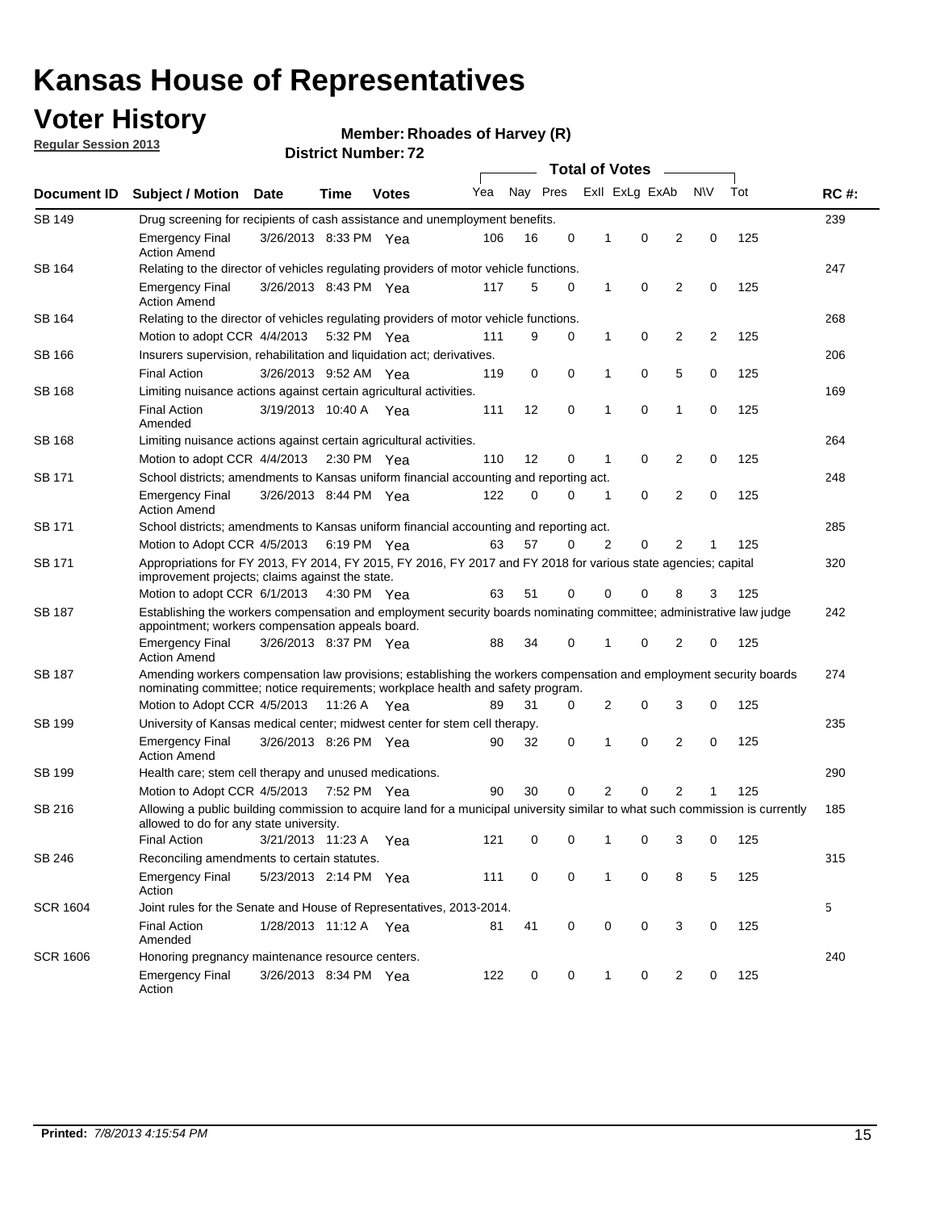## **Voter History**

**Member: Rhoades of Harvey (R)** 

**Regular Session 2013**

| Document ID     |                                                                                                                                                                                                       |                                                                                         |             |              |     |          | <b>Total of Votes</b> |   |                | $\sim$         |           |     | <b>RC#:</b> |  |
|-----------------|-------------------------------------------------------------------------------------------------------------------------------------------------------------------------------------------------------|-----------------------------------------------------------------------------------------|-------------|--------------|-----|----------|-----------------------|---|----------------|----------------|-----------|-----|-------------|--|
|                 | <b>Subject / Motion Date</b>                                                                                                                                                                          |                                                                                         | Time        | <b>Votes</b> | Yea | Nay Pres |                       |   | Exll ExLg ExAb |                | <b>NV</b> | Tot |             |  |
| <b>SB 149</b>   |                                                                                                                                                                                                       | Drug screening for recipients of cash assistance and unemployment benefits.             |             |              |     |          |                       |   |                |                |           |     |             |  |
|                 | <b>Emergency Final</b><br><b>Action Amend</b>                                                                                                                                                         | 3/26/2013 8:33 PM Yea                                                                   |             |              | 106 | 16       | 0                     | 1 | 0              | 2              | 0         | 125 |             |  |
| SB 164          | Relating to the director of vehicles regulating providers of motor vehicle functions.                                                                                                                 |                                                                                         |             |              |     |          |                       |   |                |                |           |     | 247         |  |
|                 | <b>Emergency Final</b><br><b>Action Amend</b>                                                                                                                                                         | 3/26/2013 8:43 PM Yea                                                                   |             |              | 117 | 5        | 0                     | 1 | 0              | 2              | 0         | 125 |             |  |
| SB 164          | Relating to the director of vehicles regulating providers of motor vehicle functions.                                                                                                                 |                                                                                         |             |              |     |          |                       |   |                |                |           |     | 268         |  |
|                 |                                                                                                                                                                                                       | 0<br>Motion to adopt CCR 4/4/2013<br>9<br>0<br>1<br>2<br>2<br>125<br>5:32 PM Yea<br>111 |             |              |     |          |                       |   |                |                |           |     |             |  |
| SB 166          | Insurers supervision, rehabilitation and liquidation act; derivatives.                                                                                                                                |                                                                                         |             |              |     |          |                       |   |                |                |           |     | 206         |  |
|                 | <b>Final Action</b>                                                                                                                                                                                   | 3/26/2013 9:52 AM Yea                                                                   |             |              | 119 | 0        | 0                     | 1 | 0              | 5              | 0         | 125 |             |  |
| SB 168          | Limiting nuisance actions against certain agricultural activities.                                                                                                                                    |                                                                                         |             |              |     |          |                       |   |                |                |           |     | 169         |  |
|                 | <b>Final Action</b><br>Amended                                                                                                                                                                        | 3/19/2013 10:40 A Yea                                                                   |             |              | 111 | 12       | 0                     | 1 | 0              | 1              | 0         | 125 |             |  |
| SB 168          | Limiting nuisance actions against certain agricultural activities.                                                                                                                                    |                                                                                         |             |              |     |          |                       |   |                |                |           |     | 264         |  |
|                 | Motion to adopt CCR 4/4/2013                                                                                                                                                                          |                                                                                         |             | 2:30 PM Yea  | 110 | 12       | 0                     | 1 | 0              | 2              | 0         | 125 |             |  |
| <b>SB 171</b>   | School districts; amendments to Kansas uniform financial accounting and reporting act.                                                                                                                |                                                                                         |             |              |     |          |                       |   |                |                |           |     | 248         |  |
|                 | <b>Emergency Final</b><br><b>Action Amend</b>                                                                                                                                                         | 3/26/2013 8:44 PM Yea                                                                   |             |              | 122 | 0        | 0                     | 1 | 0              | 2              | 0         | 125 |             |  |
| SB 171          | School districts; amendments to Kansas uniform financial accounting and reporting act.                                                                                                                |                                                                                         |             |              |     |          |                       |   |                |                |           | 285 |             |  |
|                 | Motion to Adopt CCR 4/5/2013                                                                                                                                                                          |                                                                                         | 6:19 PM Yea |              | 63  | 57       | 0                     | 2 | 0              | 2              |           |     |             |  |
| SB 171          | Appropriations for FY 2013, FY 2014, FY 2015, FY 2016, FY 2017 and FY 2018 for various state agencies; capital<br>improvement projects; claims against the state.                                     |                                                                                         |             |              |     |          |                       |   |                |                |           | 320 |             |  |
|                 | Motion to adopt CCR 6/1/2013 4:30 PM Yea                                                                                                                                                              |                                                                                         |             |              | 63  | 51       | 0                     | 0 | 0              | 8              | 3         | 125 |             |  |
| SB 187          | Establishing the workers compensation and employment security boards nominating committee; administrative law judge<br>appointment; workers compensation appeals board.                               |                                                                                         |             |              |     |          |                       |   |                |                |           |     | 242         |  |
|                 | <b>Emergency Final</b><br><b>Action Amend</b>                                                                                                                                                         | 3/26/2013 8:37 PM Yea                                                                   |             |              | 88  | 34       | 0                     | 1 | 0              | 2              | 0         | 125 |             |  |
| SB 187          | Amending workers compensation law provisions; establishing the workers compensation and employment security boards<br>nominating committee; notice requirements; workplace health and safety program. |                                                                                         |             |              |     |          |                       |   |                |                |           |     | 274         |  |
|                 | Motion to Adopt CCR 4/5/2013 11:26 A Yea                                                                                                                                                              |                                                                                         |             |              | 89  | 31       | 0                     | 2 | 0              | 3              | 0         | 125 |             |  |
| SB 199          | University of Kansas medical center; midwest center for stem cell therapy.                                                                                                                            |                                                                                         |             |              |     |          |                       |   |                |                |           |     | 235         |  |
|                 | <b>Emergency Final</b><br><b>Action Amend</b>                                                                                                                                                         | 3/26/2013 8:26 PM Yea                                                                   |             |              | 90  | 32       | 0                     | 1 | 0              | 2              | 0         | 125 |             |  |
| SB 199          | Health care; stem cell therapy and unused medications.                                                                                                                                                |                                                                                         |             |              |     |          |                       |   |                |                |           |     | 290         |  |
|                 | Motion to Adopt CCR 4/5/2013                                                                                                                                                                          |                                                                                         | 7:52 PM Yea |              | 90  | 30       | 0                     | 2 | 0              | $\overline{2}$ | 1         | 125 |             |  |
| SB 216          | Allowing a public building commission to acquire land for a municipal university similar to what such commission is currently<br>allowed to do for any state university.                              |                                                                                         |             |              |     |          |                       |   |                |                |           |     | 185         |  |
|                 | <b>Final Action</b>                                                                                                                                                                                   | 3/21/2013 11:23 A Yea                                                                   |             |              | 121 | 0        | 0                     | 1 | 0              | 3              | 0         | 125 |             |  |
| SB 246          | Reconciling amendments to certain statutes.                                                                                                                                                           |                                                                                         |             |              |     |          |                       |   |                |                |           |     | 315         |  |
|                 | <b>Emergency Final</b><br>Action                                                                                                                                                                      | 5/23/2013 2:14 PM Yea                                                                   |             |              | 111 | 0        | 0                     | 1 | 0              | 8              | 5         | 125 |             |  |
| <b>SCR 1604</b> | Joint rules for the Senate and House of Representatives, 2013-2014.                                                                                                                                   |                                                                                         |             |              |     |          |                       |   |                |                |           |     | 5           |  |
|                 | <b>Final Action</b><br>Amended                                                                                                                                                                        | 1/28/2013 11:12 A Yea                                                                   |             |              | 81  | 41       | 0                     | 0 | 0              | 3              | 0         | 125 |             |  |
| <b>SCR 1606</b> |                                                                                                                                                                                                       | Honoring pregnancy maintenance resource centers.                                        |             |              |     |          |                       |   |                |                |           | 240 |             |  |
|                 | <b>Emergency Final</b><br>Action                                                                                                                                                                      | 3/26/2013 8:34 PM Yea                                                                   |             |              | 122 | 0        | 0                     | 1 | 0              | 2              | 0         | 125 |             |  |